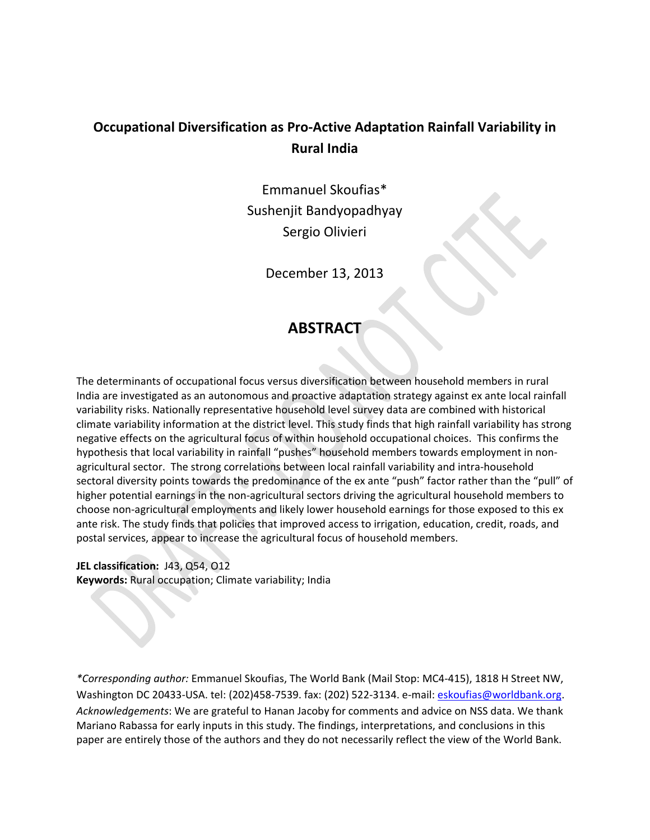# **Occupational Diversification as Pro‐Active Adaptation Rainfall Variability in Rural India**

Emmanuel Skoufias\* Sushenjit Bandyopadhyay Sergio Olivieri

December 13, 2013

# **ABSTRACT**

The determinants of occupational focus versus diversification between household members in rural India are investigated as an autonomous and proactive adaptation strategy against ex ante local rainfall variability risks. Nationally representative household level survey data are combined with historical climate variability information at the district level. This study finds that high rainfall variability has strong negative effects on the agricultural focus of within household occupational choices. This confirms the hypothesis that local variability in rainfall "pushes" household members towards employment in non‐ agricultural sector. The strong correlations between local rainfall variability and intra-household sectoral diversity points towards the predominance of the ex ante "push" factor rather than the "pull" of higher potential earnings in the non-agricultural sectors driving the agricultural household members to choose non‐agricultural employments and likely lower household earnings for those exposed to this ex ante risk. The study finds that policies that improved access to irrigation, education, credit, roads, and postal services, appear to increase the agricultural focus of household members.

**JEL classification:** J43, Q54, O12 **Keywords:** Rural occupation; Climate variability; India

*\*Corresponding author:* Emmanuel Skoufias, The World Bank (Mail Stop: MC4‐415), 1818 H Street NW, Washington DC 20433‐USA. tel: (202)458‐7539. fax: (202) 522‐3134. e‐mail: eskoufias@worldbank.org. *Acknowledgements*: We are grateful to Hanan Jacoby for comments and advice on NSS data. We thank Mariano Rabassa for early inputs in this study. The findings, interpretations, and conclusions in this paper are entirely those of the authors and they do not necessarily reflect the view of the World Bank.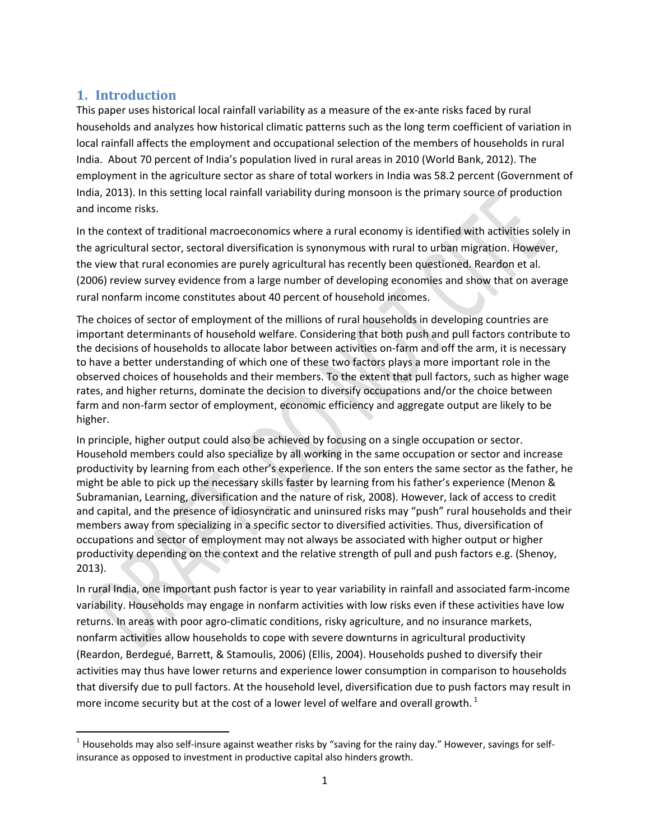# **1. Introduction**

This paper uses historical local rainfall variability as a measure of the ex-ante risks faced by rural households and analyzes how historical climatic patterns such as the long term coefficient of variation in local rainfall affects the employment and occupational selection of the members of households in rural India. About 70 percent of India's population lived in rural areas in 2010 (World Bank, 2012). The employment in the agriculture sector as share of total workers in India was 58.2 percent (Government of India, 2013). In this setting local rainfall variability during monsoon is the primary source of production and income risks.

In the context of traditional macroeconomics where a rural economy is identified with activities solely in the agricultural sector, sectoral diversification is synonymous with rural to urban migration. However, the view that rural economies are purely agricultural has recently been questioned. Reardon et al. (2006) review survey evidence from a large number of developing economies and show that on average rural nonfarm income constitutes about 40 percent of household incomes.

The choices of sector of employment of the millions of rural households in developing countries are important determinants of household welfare. Considering that both push and pull factors contribute to the decisions of households to allocate labor between activities on‐farm and off the arm, it is necessary to have a better understanding of which one of these two factors plays a more important role in the observed choices of households and their members. To the extent that pull factors, such as higher wage rates, and higher returns, dominate the decision to diversify occupations and/or the choice between farm and non-farm sector of employment, economic efficiency and aggregate output are likely to be higher.

In principle, higher output could also be achieved by focusing on a single occupation or sector. Household members could also specialize by all working in the same occupation or sector and increase productivity by learning from each other's experience. If the son enters the same sector as the father, he might be able to pick up the necessary skills faster by learning from his father's experience (Menon & Subramanian, Learning, diversification and the nature of risk, 2008). However, lack of access to credit and capital, and the presence of idiosyncratic and uninsured risks may "push" rural households and their members away from specializing in a specific sector to diversified activities. Thus, diversification of occupations and sector of employment may not always be associated with higher output or higher productivity depending on the context and the relative strength of pull and push factors e.g. (Shenoy, 2013).

In rural India, one important push factor is year to year variability in rainfall and associated farm‐income variability. Households may engage in nonfarm activities with low risks even if these activities have low returns. In areas with poor agro‐climatic conditions, risky agriculture, and no insurance markets, nonfarm activities allow households to cope with severe downturns in agricultural productivity (Reardon, Berdegué, Barrett, & Stamoulis, 2006) (Ellis, 2004). Households pushed to diversify their activities may thus have lower returns and experience lower consumption in comparison to households that diversify due to pull factors. At the household level, diversification due to push factors may result in more income security but at the cost of a lower level of welfare and overall growth.<sup>1</sup>

 <sup>1</sup> Households may also self-insure against weather risks by "saving for the rainy day." However, savings for selfinsurance as opposed to investment in productive capital also hinders growth.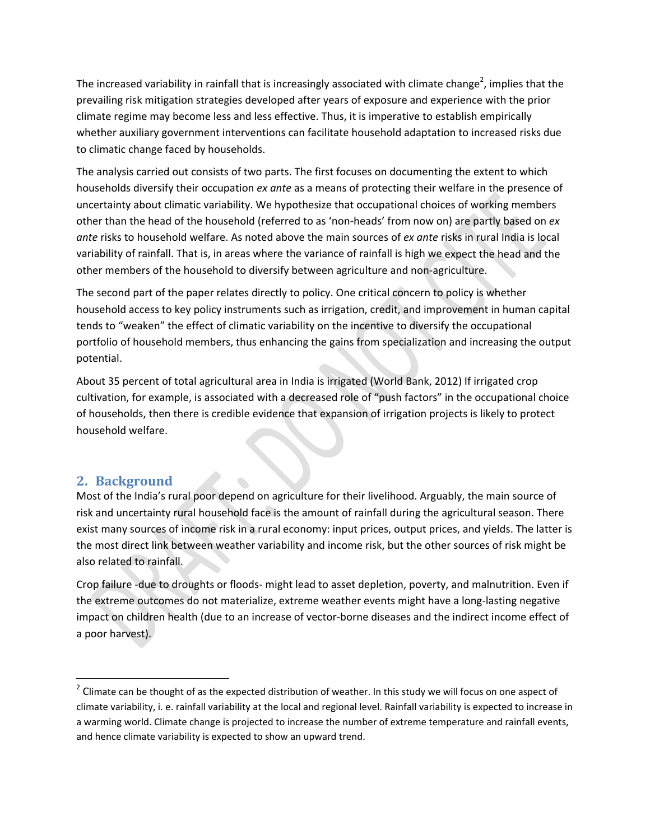The increased variability in rainfall that is increasingly associated with climate change<sup>2</sup>, implies that the prevailing risk mitigation strategies developed after years of exposure and experience with the prior climate regime may become less and less effective. Thus, it is imperative to establish empirically whether auxiliary government interventions can facilitate household adaptation to increased risks due to climatic change faced by households.

The analysis carried out consists of two parts. The first focuses on documenting the extent to which households diversify their occupation *ex ante* as a means of protecting their welfare in the presence of uncertainty about climatic variability. We hypothesize that occupational choices of working members other than the head of the household (referred to as 'non‐heads' from now on) are partly based on *ex ante* risks to household welfare. As noted above the main sources of *ex ante* risks in rural India is local variability of rainfall. That is, in areas where the variance of rainfall is high we expect the head and the other members of the household to diversify between agriculture and non‐agriculture.

The second part of the paper relates directly to policy. One critical concern to policy is whether household access to key policy instruments such as irrigation, credit, and improvement in human capital tends to "weaken" the effect of climatic variability on the incentive to diversify the occupational portfolio of household members, thus enhancing the gains from specialization and increasing the output potential.

About 35 percent of total agricultural area in India is irrigated (World Bank, 2012) If irrigated crop cultivation, for example, is associated with a decreased role of "push factors" in the occupational choice of households, then there is credible evidence that expansion of irrigation projects is likely to protect household welfare.

## **2. Background**

Most of the India's rural poor depend on agriculture for their livelihood. Arguably, the main source of risk and uncertainty rural household face is the amount of rainfall during the agricultural season. There exist many sources of income risk in a rural economy: input prices, output prices, and yields. The latter is the most direct link between weather variability and income risk, but the other sources of risk might be also related to rainfall.

Crop failure ‐due to droughts or floods‐ might lead to asset depletion, poverty, and malnutrition. Even if the extreme outcomes do not materialize, extreme weather events might have a long-lasting negative impact on children health (due to an increase of vector‐borne diseases and the indirect income effect of a poor harvest).

 $2$  Climate can be thought of as the expected distribution of weather. In this study we will focus on one aspect of climate variability, i. e. rainfall variability at the local and regional level. Rainfall variability is expected to increase in a warming world. Climate change is projected to increase the number of extreme temperature and rainfall events, and hence climate variability is expected to show an upward trend.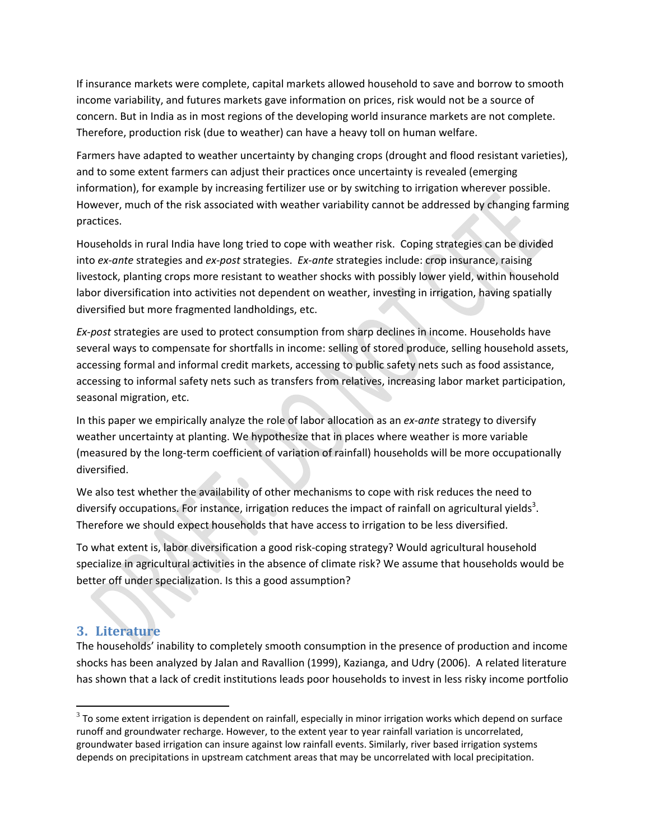If insurance markets were complete, capital markets allowed household to save and borrow to smooth income variability, and futures markets gave information on prices, risk would not be a source of concern. But in India as in most regions of the developing world insurance markets are not complete. Therefore, production risk (due to weather) can have a heavy toll on human welfare.

Farmers have adapted to weather uncertainty by changing crops (drought and flood resistant varieties), and to some extent farmers can adjust their practices once uncertainty is revealed (emerging information), for example by increasing fertilizer use or by switching to irrigation wherever possible. However, much of the risk associated with weather variability cannot be addressed by changing farming practices.

Households in rural India have long tried to cope with weather risk. Coping strategies can be divided into *ex‐ante* strategies and *ex‐post* strategies. *Ex‐ante* strategies include: crop insurance, raising livestock, planting crops more resistant to weather shocks with possibly lower yield, within household labor diversification into activities not dependent on weather, investing in irrigation, having spatially diversified but more fragmented landholdings, etc.

*Ex‐post* strategies are used to protect consumption from sharp declines in income. Households have several ways to compensate for shortfalls in income: selling of stored produce, selling household assets, accessing formal and informal credit markets, accessing to public safety nets such as food assistance, accessing to informal safety nets such as transfers from relatives, increasing labor market participation, seasonal migration, etc.

In this paper we empirically analyze the role of labor allocation as an *ex-ante* strategy to diversify weather uncertainty at planting. We hypothesize that in places where weather is more variable (measured by the long‐term coefficient of variation of rainfall) households will be more occupationally diversified.

We also test whether the availability of other mechanisms to cope with risk reduces the need to diversify occupations. For instance, irrigation reduces the impact of rainfall on agricultural yields<sup>3</sup>. Therefore we should expect households that have access to irrigation to be less diversified.

To what extent is, labor diversification a good risk‐coping strategy? Would agricultural household specialize in agricultural activities in the absence of climate risk? We assume that households would be better off under specialization. Is this a good assumption?

### **3. Literature**

The households' inability to completely smooth consumption in the presence of production and income shocks has been analyzed by Jalan and Ravallion (1999), Kazianga, and Udry (2006). A related literature has shown that a lack of credit institutions leads poor households to invest in less risky income portfolio

 $3$  To some extent irrigation is dependent on rainfall, especially in minor irrigation works which depend on surface runoff and groundwater recharge. However, to the extent year to year rainfall variation is uncorrelated, groundwater based irrigation can insure against low rainfall events. Similarly, river based irrigation systems depends on precipitations in upstream catchment areas that may be uncorrelated with local precipitation.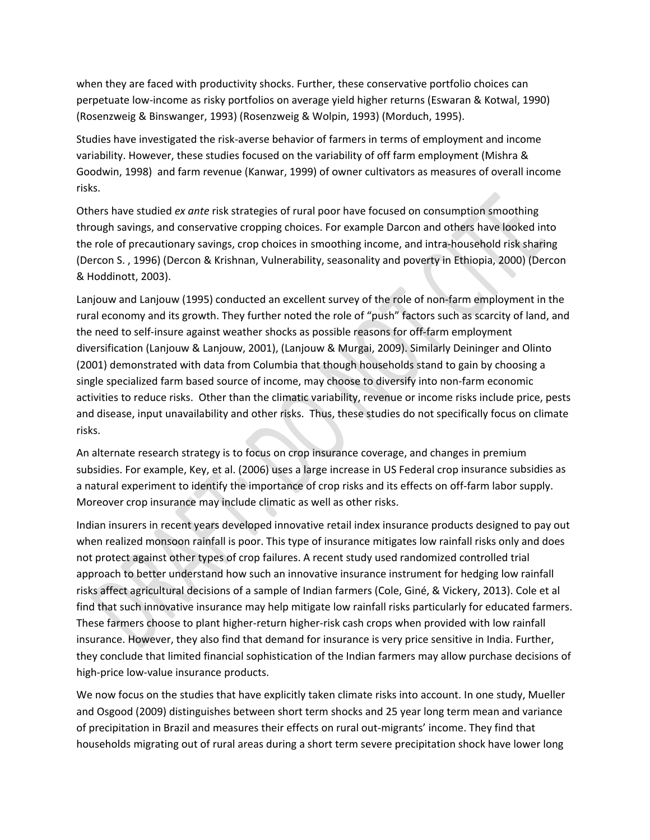when they are faced with productivity shocks. Further, these conservative portfolio choices can perpetuate low‐income as risky portfolios on average yield higher returns (Eswaran & Kotwal, 1990) (Rosenzweig & Binswanger, 1993) (Rosenzweig & Wolpin, 1993) (Morduch, 1995).

Studies have investigated the risk‐averse behavior of farmers in terms of employment and income variability. However, these studies focused on the variability of off farm employment (Mishra & Goodwin, 1998) and farm revenue (Kanwar, 1999) of owner cultivators as measures of overall income risks.

Others have studied *ex ante* risk strategies of rural poor have focused on consumption smoothing through savings, and conservative cropping choices. For example Darcon and others have looked into the role of precautionary savings, crop choices in smoothing income, and intra-household risk sharing (Dercon S. , 1996) (Dercon & Krishnan, Vulnerability, seasonality and poverty in Ethiopia, 2000) (Dercon & Hoddinott, 2003).

Lanjouw and Lanjouw (1995) conducted an excellent survey of the role of non‐farm employment in the rural economy and its growth. They further noted the role of "push" factors such as scarcity of land, and the need to self-insure against weather shocks as possible reasons for off-farm employment diversification (Lanjouw & Lanjouw, 2001), (Lanjouw & Murgai, 2009). Similarly Deininger and Olinto (2001) demonstrated with data from Columbia that though households stand to gain by choosing a single specialized farm based source of income, may choose to diversify into non-farm economic activities to reduce risks. Other than the climatic variability, revenue or income risks include price, pests and disease, input unavailability and other risks. Thus, these studies do not specifically focus on climate risks.

An alternate research strategy is to focus on crop insurance coverage, and changes in premium subsidies. For example, Key, et al. (2006) uses a large increase in US Federal crop insurance subsidies as a natural experiment to identify the importance of crop risks and its effects on off‐farm labor supply. Moreover crop insurance may include climatic as well as other risks.

Indian insurers in recent years developed innovative retail index insurance products designed to pay out when realized monsoon rainfall is poor. This type of insurance mitigates low rainfall risks only and does not protect against other types of crop failures. A recent study used randomized controlled trial approach to better understand how such an innovative insurance instrument for hedging low rainfall risks affect agricultural decisions of a sample of Indian farmers (Cole, Giné, & Vickery, 2013). Cole et al find that such innovative insurance may help mitigate low rainfall risks particularly for educated farmers. These farmers choose to plant higher-return higher-risk cash crops when provided with low rainfall insurance. However, they also find that demand for insurance is very price sensitive in India. Further, they conclude that limited financial sophistication of the Indian farmers may allow purchase decisions of high-price low-value insurance products.

We now focus on the studies that have explicitly taken climate risks into account. In one study, Mueller and Osgood (2009) distinguishes between short term shocks and 25 year long term mean and variance of precipitation in Brazil and measures their effects on rural out‐migrants' income. They find that households migrating out of rural areas during a short term severe precipitation shock have lower long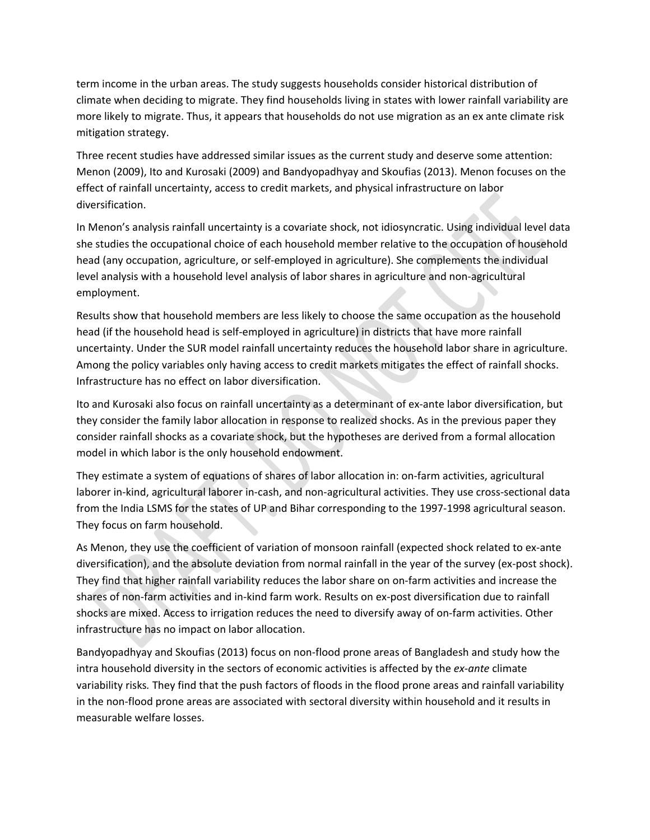term income in the urban areas. The study suggests households consider historical distribution of climate when deciding to migrate. They find households living in states with lower rainfall variability are more likely to migrate. Thus, it appears that households do not use migration as an ex ante climate risk mitigation strategy.

Three recent studies have addressed similar issues as the current study and deserve some attention: Menon (2009), Ito and Kurosaki (2009) and Bandyopadhyay and Skoufias (2013). Menon focuses on the effect of rainfall uncertainty, access to credit markets, and physical infrastructure on labor diversification.

In Menon's analysis rainfall uncertainty is a covariate shock, not idiosyncratic. Using individual level data she studies the occupational choice of each household member relative to the occupation of household head (any occupation, agriculture, or self‐employed in agriculture). She complements the individual level analysis with a household level analysis of labor shares in agriculture and non‐agricultural employment.

Results show that household members are less likely to choose the same occupation as the household head (if the household head is self-employed in agriculture) in districts that have more rainfall uncertainty. Under the SUR model rainfall uncertainty reduces the household labor share in agriculture. Among the policy variables only having access to credit markets mitigates the effect of rainfall shocks. Infrastructure has no effect on labor diversification.

Ito and Kurosaki also focus on rainfall uncertainty as a determinant of ex‐ante labor diversification, but they consider the family labor allocation in response to realized shocks. As in the previous paper they consider rainfall shocks as a covariate shock, but the hypotheses are derived from a formal allocation model in which labor is the only household endowment.

They estimate a system of equations of shares of labor allocation in: on‐farm activities, agricultural laborer in‐kind, agricultural laborer in‐cash, and non‐agricultural activities. They use cross‐sectional data from the India LSMS for the states of UP and Bihar corresponding to the 1997-1998 agricultural season. They focus on farm household.

As Menon, they use the coefficient of variation of monsoon rainfall (expected shock related to ex-ante diversification), and the absolute deviation from normal rainfall in the year of the survey (ex‐post shock). They find that higher rainfall variability reduces the labor share on on‐farm activities and increase the shares of non‐farm activities and in‐kind farm work. Results on ex‐post diversification due to rainfall shocks are mixed. Access to irrigation reduces the need to diversify away of on-farm activities. Other infrastructure has no impact on labor allocation.

Bandyopadhyay and Skoufias (2013) focus on non‐flood prone areas of Bangladesh and study how the intra household diversity in the sectors of economic activities is affected by the *ex-ante* climate variability risks*.* They find that the push factors of floods in the flood prone areas and rainfall variability in the non‐flood prone areas are associated with sectoral diversity within household and it results in measurable welfare losses.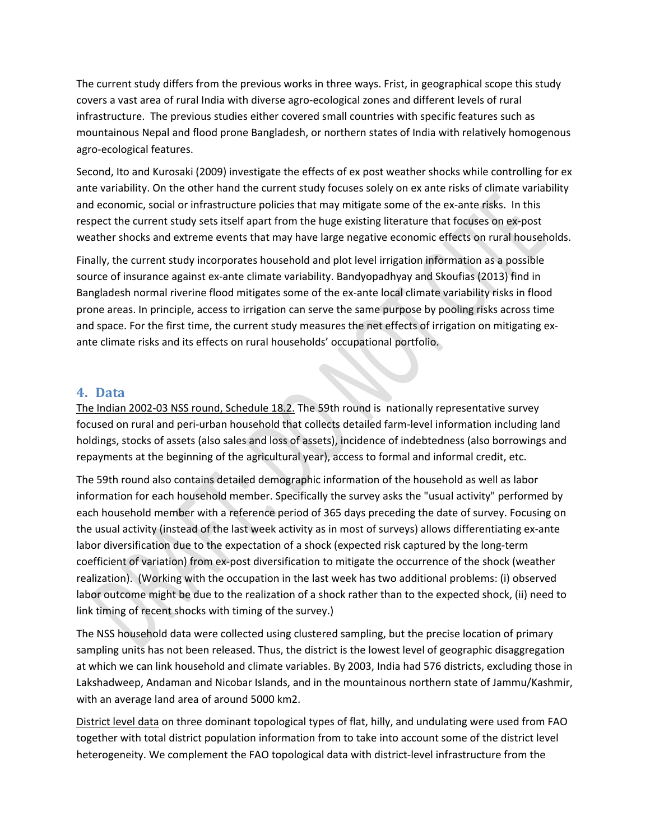The current study differs from the previous works in three ways. Frist, in geographical scope this study covers a vast area of rural India with diverse agro‐ecological zones and different levels of rural infrastructure. The previous studies either covered small countries with specific features such as mountainous Nepal and flood prone Bangladesh, or northern states of India with relatively homogenous agro‐ecological features.

Second, Ito and Kurosaki (2009) investigate the effects of ex post weather shocks while controlling for ex ante variability. On the other hand the current study focuses solely on ex ante risks of climate variability and economic, social or infrastructure policies that may mitigate some of the ex-ante risks. In this respect the current study sets itself apart from the huge existing literature that focuses on ex-post weather shocks and extreme events that may have large negative economic effects on rural households.

Finally, the current study incorporates household and plot level irrigation information as a possible source of insurance against ex-ante climate variability. Bandyopadhyay and Skoufias (2013) find in Bangladesh normal riverine flood mitigates some of the ex‐ante local climate variability risks in flood prone areas. In principle, access to irrigation can serve the same purpose by pooling risks across time and space. For the first time, the current study measures the net effects of irrigation on mitigating exante climate risks and its effects on rural households' occupational portfolio.

### **4. Data**

The Indian 2002‐03 NSS round, Schedule 18.2. The 59th round is nationally representative survey focused on rural and peri-urban household that collects detailed farm-level information including land holdings, stocks of assets (also sales and loss of assets), incidence of indebtedness (also borrowings and repayments at the beginning of the agricultural year), access to formal and informal credit, etc.

The 59th round also contains detailed demographic information of the household as well as labor information for each household member. Specifically the survey asks the "usual activity" performed by each household member with a reference period of 365 days preceding the date of survey. Focusing on the usual activity (instead of the last week activity as in most of surveys) allows differentiating ex-ante labor diversification due to the expectation of a shock (expected risk captured by the long‐term coefficient of variation) from ex‐post diversification to mitigate the occurrence of the shock (weather realization). (Working with the occupation in the last week has two additional problems: (i) observed labor outcome might be due to the realization of a shock rather than to the expected shock, (ii) need to link timing of recent shocks with timing of the survey.)

The NSS household data were collected using clustered sampling, but the precise location of primary sampling units has not been released. Thus, the district is the lowest level of geographic disaggregation at which we can link household and climate variables. By 2003, India had 576 districts, excluding those in Lakshadweep, Andaman and Nicobar Islands, and in the mountainous northern state of Jammu/Kashmir, with an average land area of around 5000 km2.

District level data on three dominant topological types of flat, hilly, and undulating were used from FAO together with total district population information from to take into account some of the district level heterogeneity. We complement the FAO topological data with district-level infrastructure from the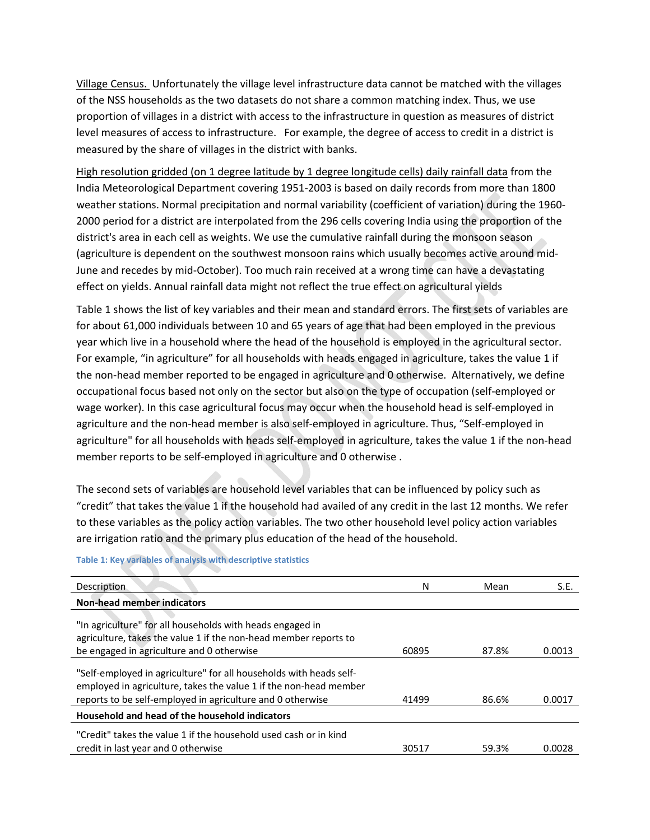Village Census. Unfortunately the village level infrastructure data cannot be matched with the villages of the NSS households as the two datasets do not share a common matching index. Thus, we use proportion of villages in a district with access to the infrastructure in question as measures of district level measures of access to infrastructure. For example, the degree of access to credit in a district is measured by the share of villages in the district with banks.

High resolution gridded (on 1 degree latitude by 1 degree longitude cells) daily rainfall data from the India Meteorological Department covering 1951‐2003 is based on daily records from more than 1800 weather stations. Normal precipitation and normal variability (coefficient of variation) during the 1960-2000 period for a district are interpolated from the 296 cells covering India using the proportion of the district's area in each cell as weights. We use the cumulative rainfall during the monsoon season (agriculture is dependent on the southwest monsoon rains which usually becomes active around mid‐ June and recedes by mid‐October). Too much rain received at a wrong time can have a devastating effect on yields. Annual rainfall data might not reflect the true effect on agricultural yields

Table 1 shows the list of key variables and their mean and standard errors. The first sets of variables are for about 61,000 individuals between 10 and 65 years of age that had been employed in the previous year which live in a household where the head of the household is employed in the agricultural sector. For example, "in agriculture" for all households with heads engaged in agriculture, takes the value 1 if the non‐head member reported to be engaged in agriculture and 0 otherwise. Alternatively, we define occupational focus based not only on the sector but also on the type of occupation (self‐employed or wage worker). In this case agricultural focus may occur when the household head is self-employed in agriculture and the non‐head member is also self‐employed in agriculture. Thus, "Self‐employed in agriculture" for all households with heads self-employed in agriculture, takes the value 1 if the non-head member reports to be self-employed in agriculture and 0 otherwise.

The second sets of variables are household level variables that can be influenced by policy such as "credit" that takes the value 1 if the household had availed of any credit in the last 12 months. We refer to these variables as the policy action variables. The two other household level policy action variables are irrigation ratio and the primary plus education of the head of the household.

| Description                                                                                                                                                                                           | Ν     | Mean  | S.E.   |
|-------------------------------------------------------------------------------------------------------------------------------------------------------------------------------------------------------|-------|-------|--------|
| <b>Non-head member indicators</b>                                                                                                                                                                     |       |       |        |
| "In agriculture" for all households with heads engaged in<br>agriculture, takes the value 1 if the non-head member reports to                                                                         |       |       |        |
| be engaged in agriculture and 0 otherwise                                                                                                                                                             | 60895 | 87.8% | 0.0013 |
| "Self-employed in agriculture" for all households with heads self-<br>employed in agriculture, takes the value 1 if the non-head member<br>reports to be self-employed in agriculture and 0 otherwise | 41499 | 86.6% | 0.0017 |
| Household and head of the household indicators                                                                                                                                                        |       |       |        |
| "Credit" takes the value 1 if the household used cash or in kind<br>credit in last year and 0 otherwise                                                                                               | 30517 | 59.3% | 0.0028 |

#### **Table 1: Key variables of analysis with descriptive statistics**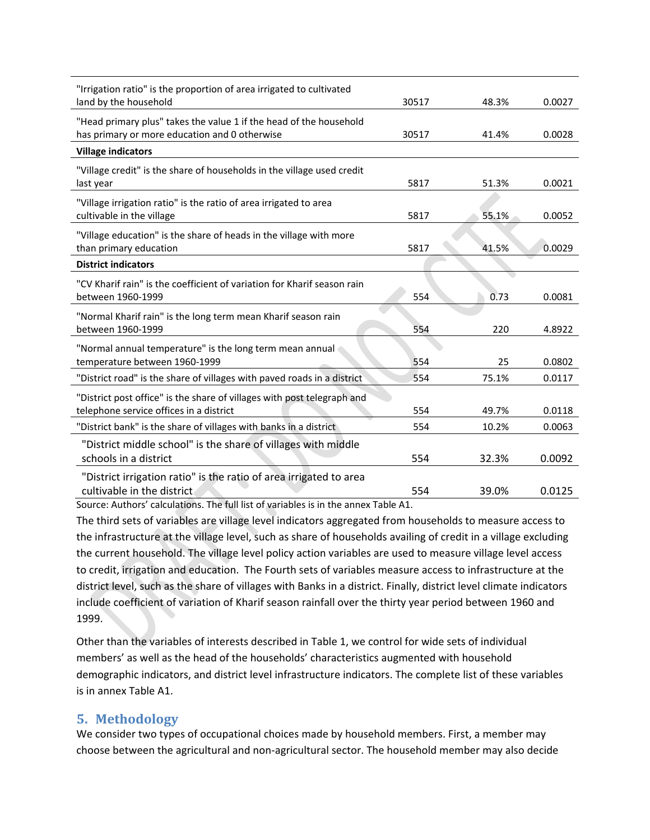| "Irrigation ratio" is the proportion of area irrigated to cultivated<br>land by the household                       | 30517 | 48.3% | 0.0027 |
|---------------------------------------------------------------------------------------------------------------------|-------|-------|--------|
| "Head primary plus" takes the value 1 if the head of the household<br>has primary or more education and 0 otherwise | 30517 | 41.4% | 0.0028 |
| <b>Village indicators</b>                                                                                           |       |       |        |
| "Village credit" is the share of households in the village used credit<br>last year                                 | 5817  | 51.3% | 0.0021 |
| "Village irrigation ratio" is the ratio of area irrigated to area<br>cultivable in the village                      | 5817  | 55.1% | 0.0052 |
| "Village education" is the share of heads in the village with more<br>than primary education                        | 5817  | 41.5% | 0.0029 |
| <b>District indicators</b>                                                                                          |       |       |        |
| "CV Kharif rain" is the coefficient of variation for Kharif season rain<br>between 1960-1999                        | 554   | 0.73  | 0.0081 |
| "Normal Kharif rain" is the long term mean Kharif season rain<br>between 1960-1999                                  | 554   | 220   | 4.8922 |
| "Normal annual temperature" is the long term mean annual<br>temperature between 1960-1999                           | 554   | 25    | 0.0802 |
| "District road" is the share of villages with paved roads in a district                                             | 554   | 75.1% | 0.0117 |
| "District post office" is the share of villages with post telegraph and<br>telephone service offices in a district  | 554   | 49.7% | 0.0118 |
| "District bank" is the share of villages with banks in a district                                                   | 554   | 10.2% | 0.0063 |
| "District middle school" is the share of villages with middle<br>schools in a district                              | 554   | 32.3% | 0.0092 |
| "District irrigation ratio" is the ratio of area irrigated to area<br>cultivable in the district                    | 554   | 39.0% | 0.0125 |

Source: Authors' calculations. The full list of variables is in the annex Table A1.

The third sets of variables are village level indicators aggregated from households to measure access to the infrastructure at the village level, such as share of households availing of credit in a village excluding the current household. The village level policy action variables are used to measure village level access to credit, irrigation and education. The Fourth sets of variables measure access to infrastructure at the district level, such as the share of villages with Banks in a district. Finally, district level climate indicators include coefficient of variation of Kharif season rainfall over the thirty year period between 1960 and 1999.

Other than the variables of interests described in Table 1, we control for wide sets of individual members' as well as the head of the households' characteristics augmented with household demographic indicators, and district level infrastructure indicators. The complete list of these variables is in annex Table A1.

## **5. Methodology**

We consider two types of occupational choices made by household members. First, a member may choose between the agricultural and non‐agricultural sector. The household member may also decide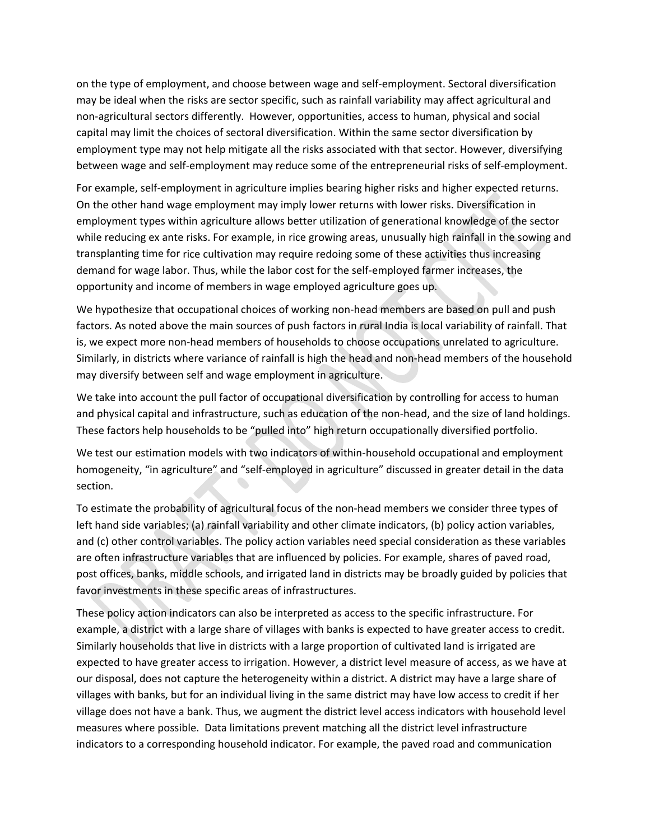on the type of employment, and choose between wage and self‐employment. Sectoral diversification may be ideal when the risks are sector specific, such as rainfall variability may affect agricultural and non‐agricultural sectors differently. However, opportunities, access to human, physical and social capital may limit the choices of sectoral diversification. Within the same sector diversification by employment type may not help mitigate all the risks associated with that sector. However, diversifying between wage and self-employment may reduce some of the entrepreneurial risks of self-employment.

For example, self‐employment in agriculture implies bearing higher risks and higher expected returns. On the other hand wage employment may imply lower returns with lower risks. Diversification in employment types within agriculture allows better utilization of generational knowledge of the sector while reducing ex ante risks. For example, in rice growing areas, unusually high rainfall in the sowing and transplanting time for rice cultivation may require redoing some of these activities thus increasing demand for wage labor. Thus, while the labor cost for the self‐employed farmer increases, the opportunity and income of members in wage employed agriculture goes up.

We hypothesize that occupational choices of working non-head members are based on pull and push factors. As noted above the main sources of push factors in rural India is local variability of rainfall. That is, we expect more non‐head members of households to choose occupations unrelated to agriculture. Similarly, in districts where variance of rainfall is high the head and non‐head members of the household may diversify between self and wage employment in agriculture.

We take into account the pull factor of occupational diversification by controlling for access to human and physical capital and infrastructure, such as education of the non-head, and the size of land holdings. These factors help households to be "pulled into" high return occupationally diversified portfolio.

We test our estimation models with two indicators of within‐household occupational and employment homogeneity, "in agriculture" and "self-employed in agriculture" discussed in greater detail in the data section.

To estimate the probability of agricultural focus of the non‐head members we consider three types of left hand side variables; (a) rainfall variability and other climate indicators, (b) policy action variables, and (c) other control variables. The policy action variables need special consideration as these variables are often infrastructure variables that are influenced by policies. For example, shares of paved road, post offices, banks, middle schools, and irrigated land in districts may be broadly guided by policies that favor investments in these specific areas of infrastructures.

These policy action indicators can also be interpreted as access to the specific infrastructure. For example, a district with a large share of villages with banks is expected to have greater access to credit. Similarly households that live in districts with a large proportion of cultivated land is irrigated are expected to have greater access to irrigation. However, a district level measure of access, as we have at our disposal, does not capture the heterogeneity within a district. A district may have a large share of villages with banks, but for an individual living in the same district may have low access to credit if her village does not have a bank. Thus, we augment the district level access indicators with household level measures where possible. Data limitations prevent matching all the district level infrastructure indicators to a corresponding household indicator. For example, the paved road and communication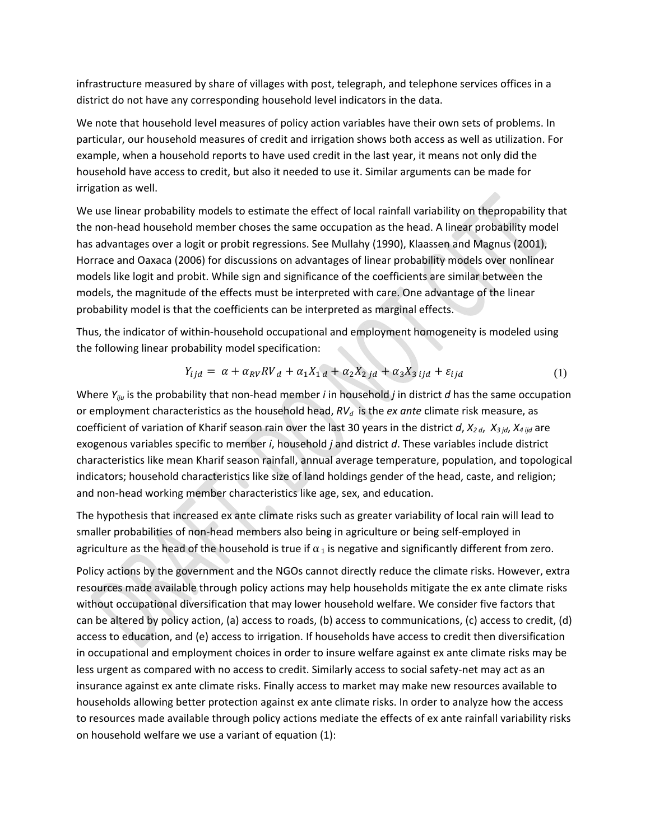infrastructure measured by share of villages with post, telegraph, and telephone services offices in a district do not have any corresponding household level indicators in the data.

We note that household level measures of policy action variables have their own sets of problems. In particular, our household measures of credit and irrigation shows both access as well as utilization. For example, when a household reports to have used credit in the last year, it means not only did the household have access to credit, but also it needed to use it. Similar arguments can be made for irrigation as well.

We use linear probability models to estimate the effect of local rainfall variability on thepropability that the non-head household member choses the same occupation as the head. A linear probability model has advantages over a logit or probit regressions. See Mullahy (1990), Klaassen and Magnus (2001), Horrace and Oaxaca (2006) for discussions on advantages of linear probability models over nonlinear models like logit and probit. While sign and significance of the coefficients are similar between the models, the magnitude of the effects must be interpreted with care. One advantage of the linear probability model is that the coefficients can be interpreted as marginal effects.

Thus, the indicator of within‐household occupational and employment homogeneity is modeled using the following linear probability model specification:

$$
Y_{ijd} = \alpha + \alpha_{RV}RV_d + \alpha_1 X_{1d} + \alpha_2 X_{2jd} + \alpha_3 X_{3ijd} + \varepsilon_{ijd}
$$
\n
$$
\tag{1}
$$

Where *Yiju* is the probability that non‐head member *i* in household *j* in district *d* has the same occupation or employment characteristics as the household head,  $RV_d$  is the *ex ante* climate risk measure, as coefficient of variation of Kharif season rain over the last 30 years in the district *d*, *X2 <sup>d</sup>*, *X3 jd*, *X4 ijd* are exogenous variables specific to member *i*, household *j* and district *d*. These variables include district characteristics like mean Kharif season rainfall, annual average temperature, population, and topological indicators; household characteristics like size of land holdings gender of the head, caste, and religion; and non‐head working member characteristics like age, sex, and education.

The hypothesis that increased ex ante climate risks such as greater variability of local rain will lead to smaller probabilities of non-head members also being in agriculture or being self-employed in agriculture as the head of the household is true if  $\alpha_1$  is negative and significantly different from zero.

Policy actions by the government and the NGOs cannot directly reduce the climate risks. However, extra resources made available through policy actions may help households mitigate the ex ante climate risks without occupational diversification that may lower household welfare. We consider five factors that can be altered by policy action, (a) access to roads, (b) access to communications, (c) access to credit, (d) access to education, and (e) access to irrigation. If households have access to credit then diversification in occupational and employment choices in order to insure welfare against ex ante climate risks may be less urgent as compared with no access to credit. Similarly access to social safety-net may act as an insurance against ex ante climate risks. Finally access to market may make new resources available to households allowing better protection against ex ante climate risks. In order to analyze how the access to resources made available through policy actions mediate the effects of ex ante rainfall variability risks on household welfare we use a variant of equation (1):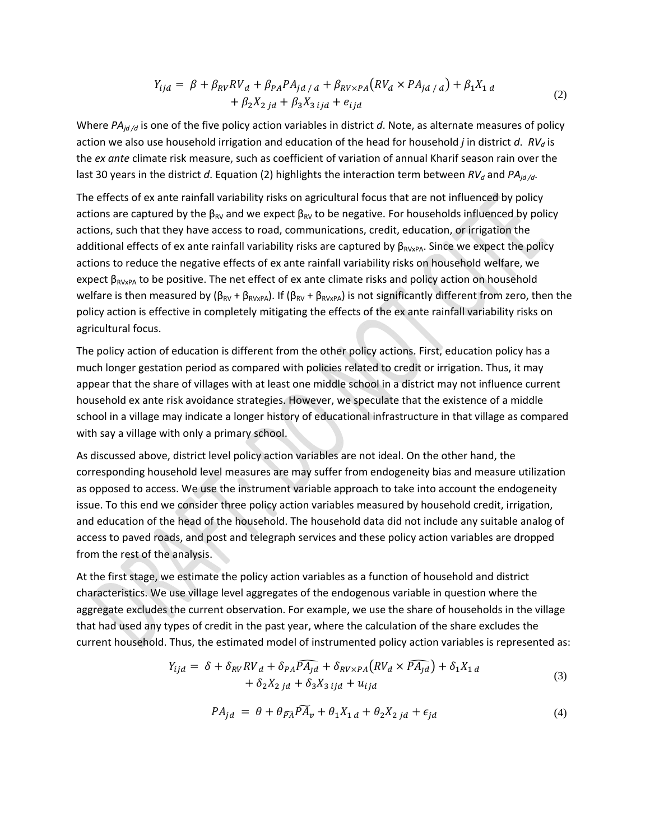$$
Y_{ijd} = \beta + \beta_{RV} RV_d + \beta_{PA} PA_{jd/d} + \beta_{RV \times PA} (RV_d \times PA_{jd/d}) + \beta_1 X_{1d} + \beta_2 X_{2jd} + \beta_3 X_{3ijd} + e_{ijd}
$$
\n(2)

Where  $PA_{id/d}$  is one of the five policy action variables in district d. Note, as alternate measures of policy action we also use household irrigation and education of the head for household *j* in district *d*.  $RV<sub>d</sub>$  is the *ex ante* climate risk measure, such as coefficient of variation of annual Kharif season rain over the last 30 years in the district *d*. Equation (2) highlights the interaction term between  $RV_d$  and  $PA_{id/d}$ .

The effects of ex ante rainfall variability risks on agricultural focus that are not influenced by policy actions are captured by the  $\beta_{RV}$  and we expect  $\beta_{RV}$  to be negative. For households influenced by policy actions, such that they have access to road, communications, credit, education, or irrigation the additional effects of ex ante rainfall variability risks are captured by  $\beta_{RVxPA}$ . Since we expect the policy actions to reduce the negative effects of ex ante rainfall variability risks on household welfare, we expect  $\beta_{RVxPA}$  to be positive. The net effect of ex ante climate risks and policy action on household welfare is then measured by ( $β_{RV} + β_{RVXPA}$ ). If ( $β_{RV} + β_{RVXPA}$ ) is not significantly different from zero, then the policy action is effective in completely mitigating the effects of the ex ante rainfall variability risks on agricultural focus.

The policy action of education is different from the other policy actions. First, education policy has a much longer gestation period as compared with policies related to credit or irrigation. Thus, it may appear that the share of villages with at least one middle school in a district may not influence current household ex ante risk avoidance strategies. However, we speculate that the existence of a middle school in a village may indicate a longer history of educational infrastructure in that village as compared with say a village with only a primary school.

As discussed above, district level policy action variables are not ideal. On the other hand, the corresponding household level measures are may suffer from endogeneity bias and measure utilization as opposed to access. We use the instrument variable approach to take into account the endogeneity issue. To this end we consider three policy action variables measured by household credit, irrigation, and education of the head of the household. The household data did not include any suitable analog of access to paved roads, and post and telegraph services and these policy action variables are dropped from the rest of the analysis.

At the first stage, we estimate the policy action variables as a function of household and district characteristics. We use village level aggregates of the endogenous variable in question where the aggregate excludes the current observation. For example, we use the share of households in the village that had used any types of credit in the past year, where the calculation of the share excludes the current household. Thus, the estimated model of instrumented policy action variables is represented as:

$$
Y_{ijd} = \delta + \delta_{RV} RV_d + \delta_{PA} \widehat{PA_{jd}} + \delta_{RV \times PA} (RV_d \times \widehat{PA_{jd}}) + \delta_1 X_{1d}
$$
  
+  $\delta_2 X_{2jd} + \delta_3 X_{3ijd} + u_{ijd}$  (3)

$$
PA_{jd} = \theta + \theta_{\widetilde{PA}} \widetilde{PA}_{v} + \theta_{1} X_{1 d} + \theta_{2} X_{2 j d} + \epsilon_{jd}
$$
\n<sup>(4)</sup>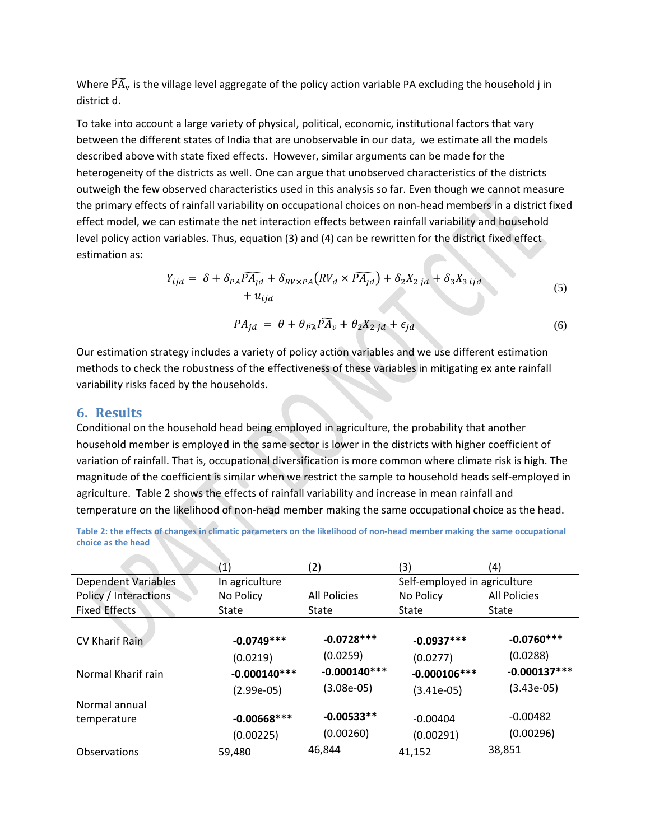Where  $\widetilde{PA}_{v}$  is the village level aggregate of the policy action variable PA excluding the household j in district d.

To take into account a large variety of physical, political, economic, institutional factors that vary between the different states of India that are unobservable in our data, we estimate all the models described above with state fixed effects. However, similar arguments can be made for the heterogeneity of the districts as well. One can argue that unobserved characteristics of the districts outweigh the few observed characteristics used in this analysis so far. Even though we cannot measure the primary effects of rainfall variability on occupational choices on non‐head members in a district fixed effect model, we can estimate the net interaction effects between rainfall variability and household level policy action variables. Thus, equation (3) and (4) can be rewritten for the district fixed effect estimation as:

$$
Y_{ijd} = \delta + \delta_{PA} \overline{PA_{jd}} + \delta_{RV \times PA} (RV_d \times \overline{PA_{jd}}) + \delta_2 X_{2jd} + \delta_3 X_{3ijd
$$
  
+  $u_{ijd}$   

$$
PA_{jd} = \theta + \theta_{\widetilde{PA}} \overline{PA}_{\nu} + \theta_2 X_{2jd} + \epsilon_{jd}
$$
 (6)

Our estimation strategy includes a variety of policy action variables and we use different estimation methods to check the robustness of the effectiveness of these variables in mitigating ex ante rainfall variability risks faced by the households.

### **6. Results**

Conditional on the household head being employed in agriculture, the probability that another household member is employed in the same sector is lower in the districts with higher coefficient of variation of rainfall. That is, occupational diversification is more common where climate risk is high. The magnitude of the coefficient is similar when we restrict the sample to household heads self-employed in agriculture. Table 2 shows the effects of rainfall variability and increase in mean rainfall and temperature on the likelihood of non‐head member making the same occupational choice as the head.

Table 2: the effects of changes in climatic parameters on the likelihood of non-head member making the same occupational **choice as the head**

|                            | $\left( 1\right)$ | (2)                 | (3)                          | (4)                 |
|----------------------------|-------------------|---------------------|------------------------------|---------------------|
| <b>Dependent Variables</b> | In agriculture    |                     | Self-employed in agriculture |                     |
| Policy / Interactions      | No Policy         | <b>All Policies</b> | No Policy                    | <b>All Policies</b> |
| <b>Fixed Effects</b>       | <b>State</b>      | State               | State                        | State               |
|                            |                   |                     |                              |                     |
| CV Kharif Rain             | $-0.0749***$      | $-0.0728***$        | $-0.0937***$                 | $-0.0760***$        |
|                            | (0.0219)          | (0.0259)            | (0.0277)                     | (0.0288)            |
| Normal Kharif rain         | $-0.000140***$    | $-0.000140***$      | $-0.000106***$               | $-0.000137***$      |
|                            | $(2.99e-05)$      | $(3.08e-05)$        | (3.41e-05)                   | $(3.43e-05)$        |
| Normal annual              |                   |                     |                              |                     |
| temperature                | $-0.00668***$     | $-0.00533**$        | $-0.00404$                   | $-0.00482$          |
|                            | (0.00225)         | (0.00260)           | (0.00291)                    | (0.00296)           |
| Observations               | 59,480            | 46,844              | 41,152                       | 38,851              |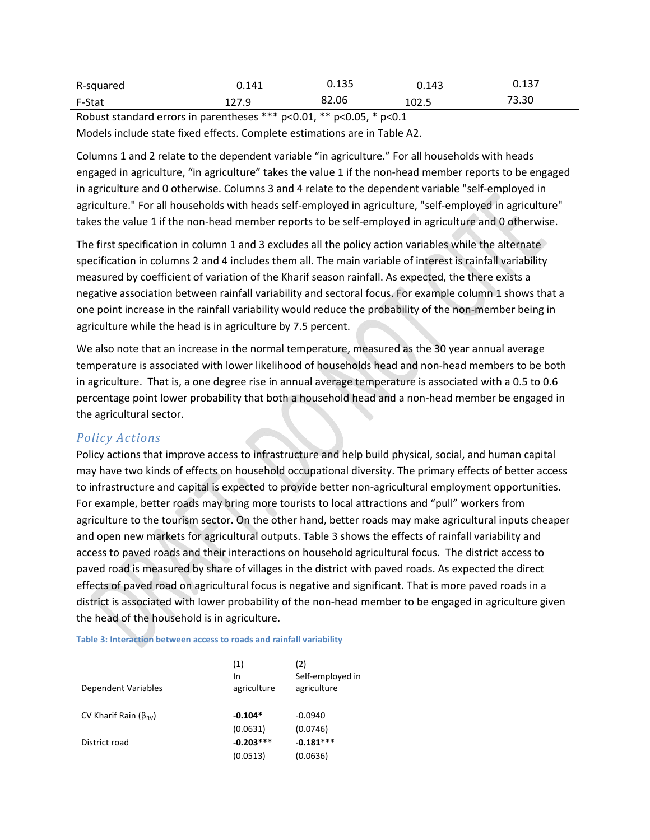| R-squared | 0.141 | 0.135 | 0.143 | 0.137 |
|-----------|-------|-------|-------|-------|
| F-Stat    | 121.J | 82.06 | 102.5 | 73.30 |

Robust standard errors in parentheses \*\*\* p<0.01, \*\* p<0.05, \* p<0.1 Models include state fixed effects. Complete estimations are in Table A2.

Columns 1 and 2 relate to the dependent variable "in agriculture." For all households with heads engaged in agriculture, "in agriculture" takes the value 1 if the non‐head member reports to be engaged in agriculture and 0 otherwise. Columns 3 and 4 relate to the dependent variable "self-employed in agriculture." For all households with heads self-employed in agriculture, "self-employed in agriculture" takes the value 1 if the non-head member reports to be self-employed in agriculture and 0 otherwise.

The first specification in column 1 and 3 excludes all the policy action variables while the alternate specification in columns 2 and 4 includes them all. The main variable of interest is rainfall variability measured by coefficient of variation of the Kharif season rainfall. As expected, the there exists a negative association between rainfall variability and sectoral focus. For example column 1 shows that a one point increase in the rainfall variability would reduce the probability of the non-member being in agriculture while the head is in agriculture by 7.5 percent.

We also note that an increase in the normal temperature, measured as the 30 year annual average temperature is associated with lower likelihood of households head and non‐head members to be both in agriculture. That is, a one degree rise in annual average temperature is associated with a 0.5 to 0.6 percentage point lower probability that both a household head and a non-head member be engaged in the agricultural sector.

### *Policy Actions*

Policy actions that improve access to infrastructure and help build physical, social, and human capital may have two kinds of effects on household occupational diversity. The primary effects of better access to infrastructure and capital is expected to provide better non‐agricultural employment opportunities. For example, better roads may bring more tourists to local attractions and "pull" workers from agriculture to the tourism sector. On the other hand, better roads may make agricultural inputs cheaper and open new markets for agricultural outputs. Table 3 shows the effects of rainfall variability and access to paved roads and their interactions on household agricultural focus. The district access to paved road is measured by share of villages in the district with paved roads. As expected the direct effects of paved road on agricultural focus is negative and significant. That is more paved roads in a district is associated with lower probability of the non‐head member to be engaged in agriculture given the head of the household is in agriculture.

| (1)         | (2)              |
|-------------|------------------|
| In          | Self-employed in |
| agriculture | agriculture      |
|             |                  |
| $-0.104*$   | $-0.0940$        |
| (0.0631)    | (0.0746)         |
| $-0.203***$ | $-0.181***$      |
| (0.0513)    | (0.0636)         |
|             |                  |

**Table 3: Interaction between access to roads and rainfall variability**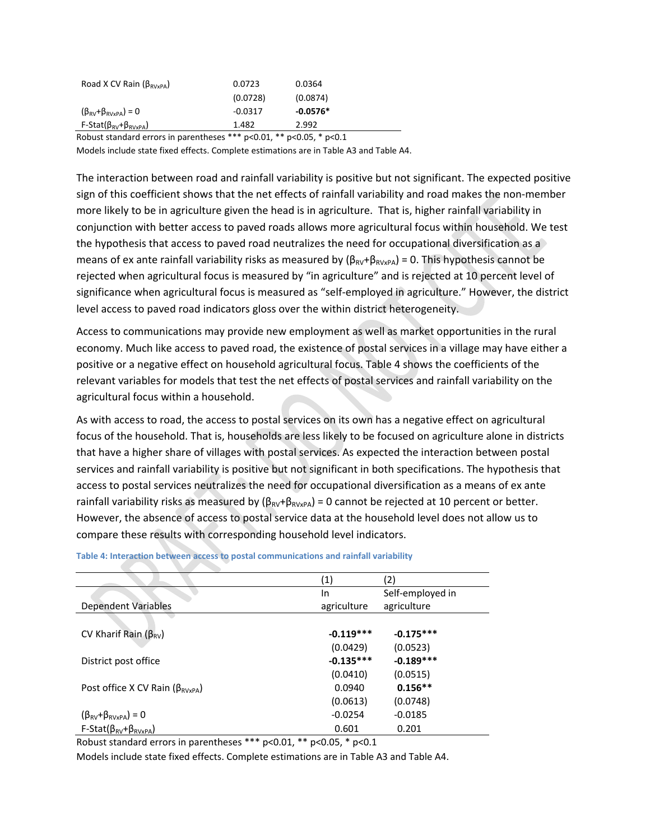| Road X CV Rain ( $\beta_{\text{RVxPA}}$ )        | 0.0723    | 0.0364     |
|--------------------------------------------------|-----------|------------|
|                                                  | (0.0728)  | (0.0874)   |
| $(\beta_{\text{RV}} + \beta_{\text{RVxPA}}) = 0$ | $-0.0317$ | $-0.0576*$ |
| F-Stat( $\beta_{\rm RV}$ + $\beta_{\rm RVxPA}$ ) | 1.482     | 2.992      |

Robust standard errors in parentheses \*\*\* p<0.01, \*\* p<0.05, \* p<0.1

Models include state fixed effects. Complete estimations are in Table A3 and Table A4.

The interaction between road and rainfall variability is positive but not significant. The expected positive sign of this coefficient shows that the net effects of rainfall variability and road makes the non-member more likely to be in agriculture given the head is in agriculture. That is, higher rainfall variability in conjunction with better access to paved roads allows more agricultural focus within household. We test the hypothesis that access to paved road neutralizes the need for occupational diversification as a means of ex ante rainfall variability risks as measured by  $(\beta_{RV}+\beta_{RVxPA}) = 0$ . This hypothesis cannot be rejected when agricultural focus is measured by "in agriculture" and is rejected at 10 percent level of significance when agricultural focus is measured as "self-employed in agriculture." However, the district level access to paved road indicators gloss over the within district heterogeneity.

Access to communications may provide new employment as well as market opportunities in the rural economy. Much like access to paved road, the existence of postal services in a village may have either a positive or a negative effect on household agricultural focus. Table 4 shows the coefficients of the relevant variables for models that test the net effects of postal services and rainfall variability on the agricultural focus within a household.

As with access to road, the access to postal services on its own has a negative effect on agricultural focus of the household. That is, households are less likely to be focused on agriculture alone in districts that have a higher share of villages with postal services. As expected the interaction between postal services and rainfall variability is positive but not significant in both specifications. The hypothesis that access to postal services neutralizes the need for occupational diversification as a means of ex ante rainfall variability risks as measured by  $(\beta_{RV}+\beta_{RVxPA}) = 0$  cannot be rejected at 10 percent or better. However, the absence of access to postal service data at the household level does not allow us to compare these results with corresponding household level indicators.

|                                                  | (1)         | (2)              |
|--------------------------------------------------|-------------|------------------|
|                                                  | In.         | Self-employed in |
| <b>Dependent Variables</b>                       | agriculture | agriculture      |
|                                                  |             |                  |
| CV Kharif Rain ( $\beta_{\rm RV}$ )              | $-0.119***$ | $-0.175***$      |
|                                                  | (0.0429)    | (0.0523)         |
| District post office                             | $-0.135***$ | $-0.189***$      |
|                                                  | (0.0410)    | (0.0515)         |
| Post office X CV Rain ( $\beta_{RVxPA}$ )        | 0.0940      | $0.156**$        |
|                                                  | (0.0613)    | (0.0748)         |
| $(\beta_{\text{RV}} + \beta_{\text{RVxPA}}) = 0$ | $-0.0254$   | $-0.0185$        |
| $F-Stat(\beta_{RV}+\beta_{RVxPA})$               | 0.601       | 0.201            |

**Table 4: Interaction between access to postal communications and rainfall variability**

Robust standard errors in parentheses \*\*\* p<0.01, \*\* p<0.05, \* p<0.1

Models include state fixed effects. Complete estimations are in Table A3 and Table A4.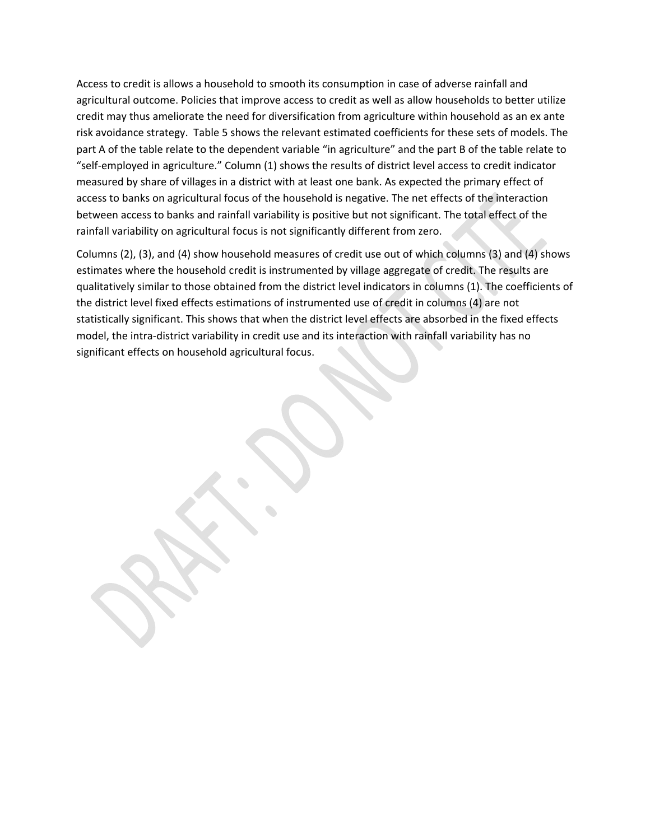Access to credit is allows a household to smooth its consumption in case of adverse rainfall and agricultural outcome. Policies that improve access to credit as well as allow households to better utilize credit may thus ameliorate the need for diversification from agriculture within household as an ex ante risk avoidance strategy. Table 5 shows the relevant estimated coefficients for these sets of models. The part A of the table relate to the dependent variable "in agriculture" and the part B of the table relate to "self‐employed in agriculture." Column (1) shows the results of district level access to credit indicator measured by share of villages in a district with at least one bank. As expected the primary effect of access to banks on agricultural focus of the household is negative. The net effects of the interaction between access to banks and rainfall variability is positive but not significant. The total effect of the rainfall variability on agricultural focus is not significantly different from zero.

Columns (2), (3), and (4) show household measures of credit use out of which columns (3) and (4) shows estimates where the household credit is instrumented by village aggregate of credit. The results are qualitatively similar to those obtained from the district level indicators in columns (1). The coefficients of the district level fixed effects estimations of instrumented use of credit in columns (4) are not statistically significant. This shows that when the district level effects are absorbed in the fixed effects model, the intra‐district variability in credit use and its interaction with rainfall variability has no significant effects on household agricultural focus.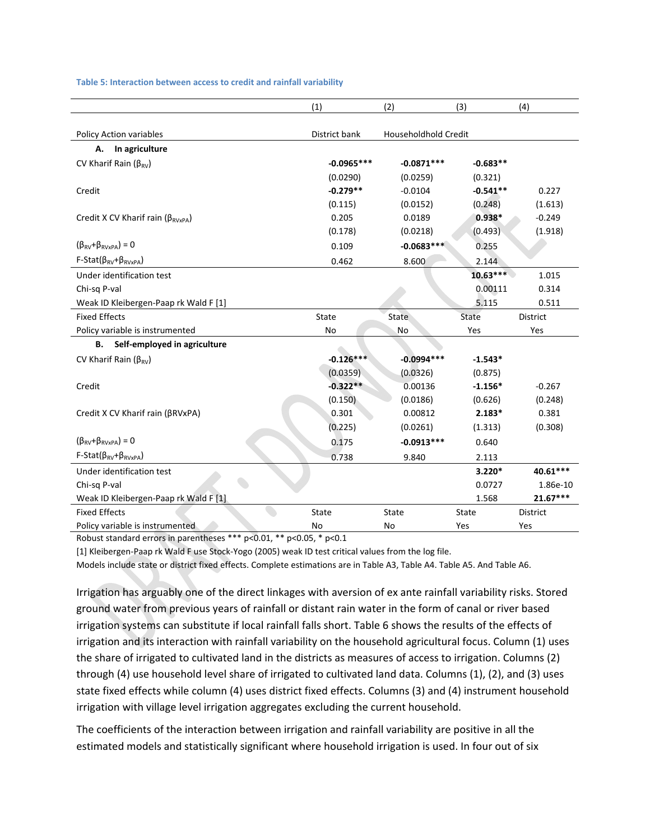**Table 5: Interaction between access to credit and rainfall variability**

|                                                    | (1)           | (2)                  | (3)          | (4)        |
|----------------------------------------------------|---------------|----------------------|--------------|------------|
| Policy Action variables                            | District bank | Householdhold Credit |              |            |
| In agriculture<br>А.                               |               |                      |              |            |
| CV Kharif Rain ( $\beta_{\text{RV}}$ )             | $-0.0965***$  | $-0.0871***$         | $-0.683**$   |            |
|                                                    | (0.0290)      | (0.0259)             | (0.321)      |            |
| Credit                                             | $-0.279**$    | $-0.0104$            | $-0.541**$   | 0.227      |
|                                                    | (0.115)       | (0.0152)             | (0.248)      | (1.613)    |
| Credit X CV Kharif rain ( $\beta_{\text{RVxPA}}$ ) | 0.205         | 0.0189               | $0.938*$     | $-0.249$   |
|                                                    | (0.178)       | (0.0218)             | (0.493)      | (1.918)    |
| $(\beta_{\text{RV}} + \beta_{\text{RVxPA}}) = 0$   | 0.109         | $-0.0683***$         | 0.255        |            |
| $F-Stat(\beta_{RV}+\beta_{RVxPA})$                 | 0.462         | 8.600                | 2.144        |            |
| Under identification test                          |               |                      | $10.63***$   | 1.015      |
| Chi-sq P-val                                       |               |                      | 0.00111      | 0.314      |
| Weak ID Kleibergen-Paap rk Wald F [1]              |               |                      | 5.115        | 0.511      |
| <b>Fixed Effects</b>                               | <b>State</b>  | State                | <b>State</b> | District   |
| Policy variable is instrumented                    | No            | No                   | Yes          | Yes        |
| Self-employed in agriculture<br>В.                 |               |                      |              |            |
| CV Kharif Rain ( $\beta_{\text{RV}}$ )             | $-0.126***$   | $-0.0994***$         | $-1.543*$    |            |
|                                                    | (0.0359)      | (0.0326)             | (0.875)      |            |
| Credit                                             | $-0.322**$    | 0.00136              | $-1.156*$    | $-0.267$   |
|                                                    | (0.150)       | (0.0186)             | (0.626)      | (0.248)    |
| Credit X CV Kharif rain (βRVxPA)                   | 0.301         | 0.00812              | $2.183*$     | 0.381      |
|                                                    | (0.225)       | (0.0261)             | (1.313)      | (0.308)    |
| $(\beta_{\text{RV}} + \beta_{\text{RVxPA}}) = 0$   | 0.175         | $-0.0913***$         | 0.640        |            |
| $F-Stat(\beta_{RV}+\beta_{RVxPA})$                 | 0.738         | 9.840                | 2.113        |            |
| Under identification test                          |               |                      | $3.220*$     | 40.61***   |
| Chi-sq P-val                                       |               |                      | 0.0727       | 1.86e-10   |
| Weak ID Kleibergen-Paap rk Wald F [1]              |               |                      | 1.568        | $21.67***$ |
| <b>Fixed Effects</b>                               | <b>State</b>  | <b>State</b>         | State        | District   |
| Policy variable is instrumented                    | No            | No                   | Yes          | Yes        |

Robust standard errors in parentheses \*\*\* p<0.01, \*\* p<0.05, \* p<0.1

[1] Kleibergen-Paap rk Wald F use Stock-Yogo (2005) weak ID test critical values from the log file.

Models include state or district fixed effects. Complete estimations are in Table A3, Table A4. Table A5. And Table A6.

Irrigation has arguably one of the direct linkages with aversion of ex ante rainfall variability risks. Stored ground water from previous years of rainfall or distant rain water in the form of canal or river based irrigation systems can substitute if local rainfall falls short. Table 6 shows the results of the effects of irrigation and its interaction with rainfall variability on the household agricultural focus. Column (1) uses the share of irrigated to cultivated land in the districts as measures of access to irrigation. Columns (2) through (4) use household level share of irrigated to cultivated land data. Columns (1), (2), and (3) uses state fixed effects while column (4) uses district fixed effects. Columns (3) and (4) instrument household irrigation with village level irrigation aggregates excluding the current household.

The coefficients of the interaction between irrigation and rainfall variability are positive in all the estimated models and statistically significant where household irrigation is used. In four out of six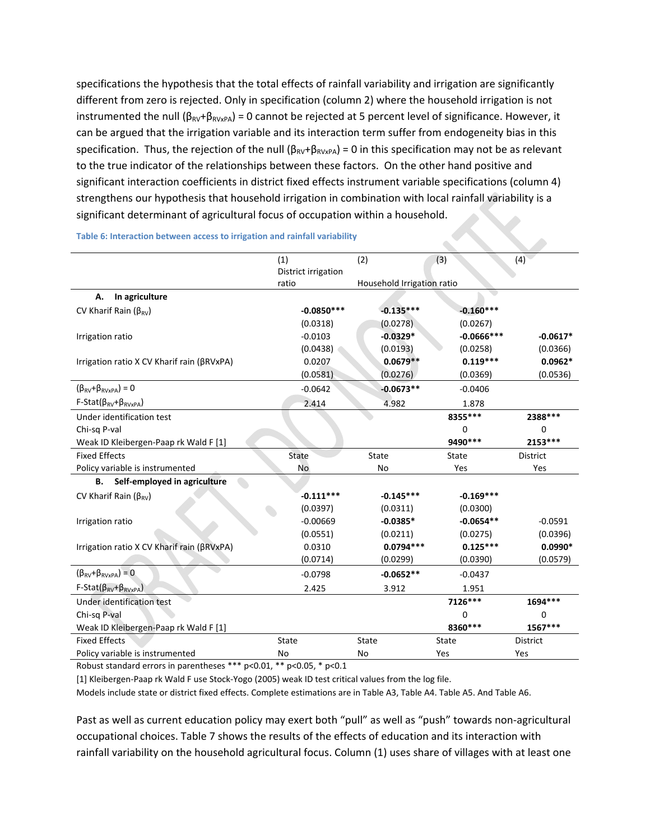specifications the hypothesis that the total effects of rainfall variability and irrigation are significantly different from zero is rejected. Only in specification (column 2) where the household irrigation is not instrumented the null ( $\beta_{RV}$ + $\beta_{RVxPA}$ ) = 0 cannot be rejected at 5 percent level of significance. However, it can be argued that the irrigation variable and its interaction term suffer from endogeneity bias in this specification. Thus, the rejection of the null ( $\beta_{RV}+\beta_{RVxPA}$ ) = 0 in this specification may not be as relevant to the true indicator of the relationships between these factors. On the other hand positive and significant interaction coefficients in district fixed effects instrument variable specifications (column 4) strengthens our hypothesis that household irrigation in combination with local rainfall variability is a significant determinant of agricultural focus of occupation within a household.

|                                                  | (1)                          | (2)                        | (3)          | (4)             |
|--------------------------------------------------|------------------------------|----------------------------|--------------|-----------------|
|                                                  | District irrigation<br>ratio |                            |              |                 |
| In agriculture<br>А.                             |                              | Household Irrigation ratio |              |                 |
|                                                  | $-0.0850***$                 | $-0.135***$                | $-0.160***$  |                 |
| CV Kharif Rain $(\beta_{RV})$                    | (0.0318)                     | (0.0278)                   | (0.0267)     |                 |
| Irrigation ratio                                 | $-0.0103$                    | $-0.0329*$                 | $-0.0666***$ | $-0.0617*$      |
|                                                  | (0.0438)                     | (0.0193)                   | (0.0258)     | (0.0366)        |
| Irrigation ratio X CV Kharif rain (βRVxPA)       | 0.0207                       | $0.0679**$                 | $0.119***$   | $0.0962*$       |
|                                                  | (0.0581)                     | (0.0276)                   | (0.0369)     | (0.0536)        |
| $(\beta_{\text{RV}} + \beta_{\text{RVxPA}}) = 0$ | $-0.0642$                    | $-0.0673**$                | $-0.0406$    |                 |
| $F-Stat(\beta_{RV}+\beta_{RVxPA})$               | 2.414                        | 4.982                      | 1.878        |                 |
| Under identification test                        |                              |                            | 8355 ***     | 2388 ***        |
| Chi-sq P-val                                     |                              |                            | $\mathbf 0$  | $\mathbf 0$     |
| Weak ID Kleibergen-Paap rk Wald F [1]            |                              |                            | 9490 ***     | 2153 ***        |
| <b>Fixed Effects</b>                             | <b>State</b>                 | State                      | <b>State</b> | <b>District</b> |
| Policy variable is instrumented                  | No                           | No                         | Yes          | Yes             |
| Self-employed in agriculture<br>В.               |                              |                            |              |                 |
| CV Kharif Rain ( $\beta_{\text{RV}}$ )           | $-0.111***$                  | $-0.145***$                | $-0.169***$  |                 |
|                                                  | (0.0397)                     | (0.0311)                   | (0.0300)     |                 |
| Irrigation ratio                                 | $-0.00669$                   | $-0.0385*$                 | $-0.0654**$  | $-0.0591$       |
|                                                  | (0.0551)                     | (0.0211)                   | (0.0275)     | (0.0396)        |
| Irrigation ratio X CV Kharif rain (βRVxPA)       | 0.0310                       | $0.0794***$                | $0.125***$   | $0.0990*$       |
|                                                  | (0.0714)                     | (0.0299)                   | (0.0390)     | (0.0579)        |
| $(\beta_{\text{RV}} + \beta_{\text{RVXPA}}) = 0$ | $-0.0798$                    | $-0.0652**$                | $-0.0437$    |                 |
| $F-Stat(\beta_{RV}+\beta_{RVxPA})$               | 2.425                        | 3.912                      | 1.951        |                 |
| Under identification test                        |                              |                            | 7126***      | 1694 ***        |
| Chi-sq P-val                                     |                              |                            | $\Omega$     | $\Omega$        |
| Weak ID Kleibergen-Paap rk Wald F [1]            |                              |                            | 8360 ***     | 1567***         |
| <b>Fixed Effects</b>                             | State                        | State                      | State        | District        |
| Policy variable is instrumented                  | <b>No</b>                    | No                         | Yes          | Yes             |

**Table 6: Interaction between access to irrigation and rainfall variability**

Robust standard errors in parentheses \*\*\* p<0.01, \*\* p<0.05, \* p<0.1

[1] Kleibergen‐Paap rk Wald F use Stock‐Yogo (2005) weak ID test critical values from the log file.

Models include state or district fixed effects. Complete estimations are in Table A3, Table A4. Table A5. And Table A6.

Past as well as current education policy may exert both "pull" as well as "push" towards non‐agricultural occupational choices. Table 7 shows the results of the effects of education and its interaction with rainfall variability on the household agricultural focus. Column (1) uses share of villages with at least one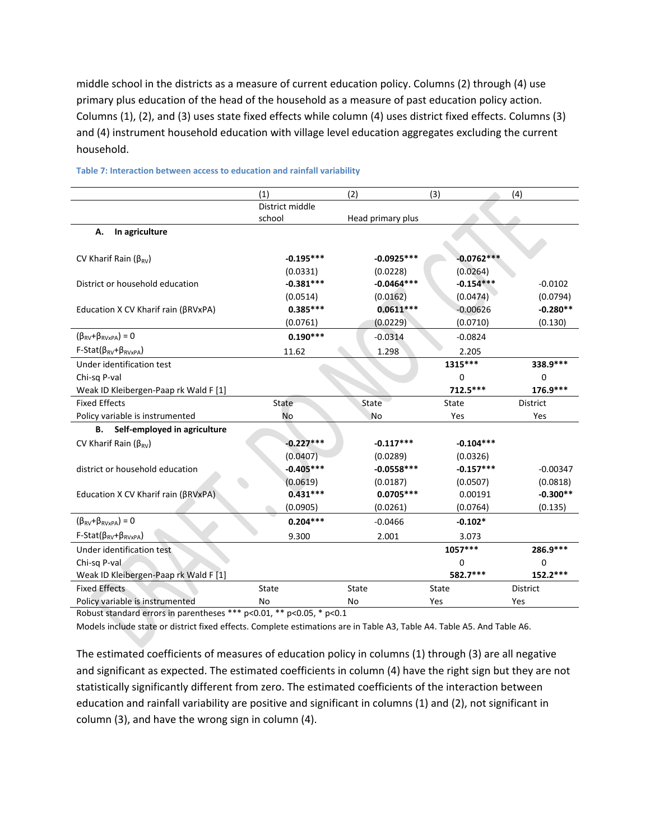middle school in the districts as a measure of current education policy. Columns (2) through (4) use primary plus education of the head of the household as a measure of past education policy action. Columns (1), (2), and (3) uses state fixed effects while column (4) uses district fixed effects. Columns (3) and (4) instrument household education with village level education aggregates excluding the current household.

|                                       | (1)             | (2)               | (3)          | (4)             |
|---------------------------------------|-----------------|-------------------|--------------|-----------------|
|                                       | District middle |                   |              |                 |
|                                       | school          | Head primary plus |              |                 |
| In agriculture<br>А.                  |                 |                   |              |                 |
|                                       |                 |                   |              |                 |
| CV Kharif Rain ( $\beta_{RV}$ )       | $-0.195***$     | $-0.0925***$      | $-0.0762***$ |                 |
|                                       | (0.0331)        | (0.0228)          | (0.0264)     |                 |
| District or household education       | $-0.381***$     | $-0.0464***$      | $-0.154***$  | $-0.0102$       |
|                                       | (0.0514)        | (0.0162)          | (0.0474)     | (0.0794)        |
| Education X CV Kharif rain (βRVxPA)   | $0.385***$      | $0.0611***$       | $-0.00626$   | $-0.280**$      |
|                                       | (0.0761)        | (0.0229)          | (0.0710)     | (0.130)         |
| $(\beta_{RV}+\beta_{RVxPA})=0$        | $0.190***$      | $-0.0314$         | $-0.0824$    |                 |
| $F-Stat(\beta_{RV}+\beta_{RVxPA})$    | 11.62           | 1.298             | 2.205        |                 |
| Under identification test             |                 |                   | 1315***      | 338.9 ***       |
| Chi-sq P-val                          |                 |                   | 0            | $\mathbf 0$     |
| Weak ID Kleibergen-Paap rk Wald F [1] |                 |                   | $712.5***$   | 176.9***        |
| <b>Fixed Effects</b>                  | <b>State</b>    | State             | State        | District        |
|                                       |                 |                   |              |                 |
| Policy variable is instrumented       | <b>No</b>       | <b>No</b>         | Yes          | Yes             |
| Self-employed in agriculture<br>В.    |                 |                   |              |                 |
| CV Kharif Rain ( $\beta_{RV}$ )       | $-0.227***$     | $-0.117***$       | $-0.104***$  |                 |
|                                       | (0.0407)        | (0.0289)          | (0.0326)     |                 |
| district or household education       | $-0.405***$     | $-0.0558***$      | $-0.157***$  | $-0.00347$      |
|                                       | (0.0619)        | (0.0187)          | (0.0507)     | (0.0818)        |
| Education X CV Kharif rain (βRVxPA)   | $0.431***$      | $0.0705***$       | 0.00191      | $-0.300**$      |
|                                       | (0.0905)        | (0.0261)          | (0.0764)     | (0.135)         |
| $(\beta_{RV}+\beta_{RVxPA})=0$        | $0.204***$      | $-0.0466$         | $-0.102*$    |                 |
| $F-Stat(\beta_{RV}+\beta_{RVxPA})$    | 9.300           | 2.001             | 3.073        |                 |
| Under identification test             |                 |                   | 1057***      | 286.9 ***       |
| Chi-sq P-val                          |                 |                   | 0            | $\mathbf 0$     |
| Weak ID Kleibergen-Paap rk Wald F [1] |                 |                   | 582.7***     | 152.2 ***       |
| <b>Fixed Effects</b>                  | State           | State             | State        | <b>District</b> |

#### **Table 7: Interaction between access to education and rainfall variability**

Robust standard errors in parentheses \*\*\* p<0.01, \*\* p<0.05, \* p<0.1

Models include state or district fixed effects. Complete estimations are in Table A3, Table A4. Table A5. And Table A6.

The estimated coefficients of measures of education policy in columns (1) through (3) are all negative and significant as expected. The estimated coefficients in column (4) have the right sign but they are not statistically significantly different from zero. The estimated coefficients of the interaction between education and rainfall variability are positive and significant in columns (1) and (2), not significant in column (3), and have the wrong sign in column (4).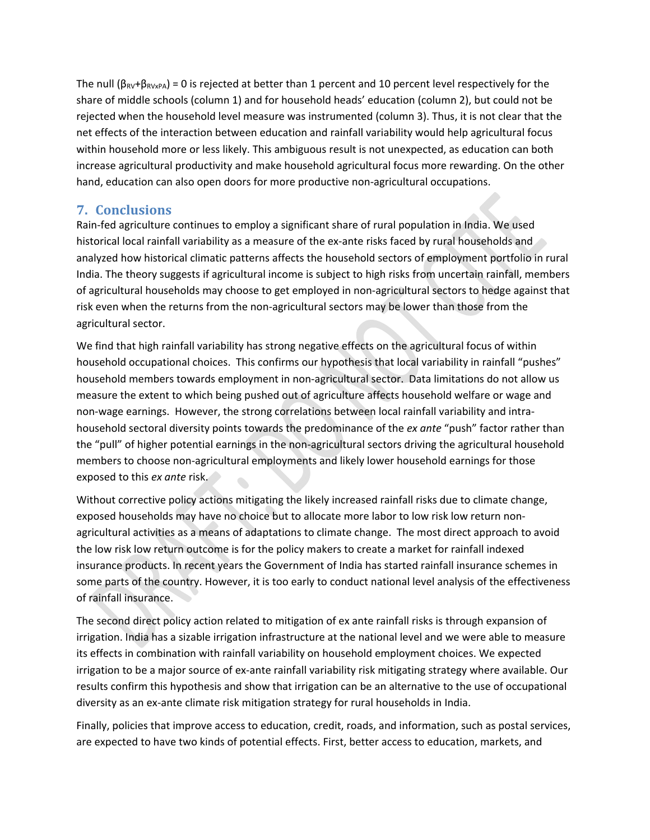The null ( $\beta_{RV}+\beta_{RVxPA}$ ) = 0 is rejected at better than 1 percent and 10 percent level respectively for the share of middle schools (column 1) and for household heads' education (column 2), but could not be rejected when the household level measure was instrumented (column 3). Thus, it is not clear that the net effects of the interaction between education and rainfall variability would help agricultural focus within household more or less likely. This ambiguous result is not unexpected, as education can both increase agricultural productivity and make household agricultural focus more rewarding. On the other hand, education can also open doors for more productive non‐agricultural occupations.

# **7. Conclusions**

Rain-fed agriculture continues to employ a significant share of rural population in India. We used historical local rainfall variability as a measure of the ex-ante risks faced by rural households and analyzed how historical climatic patterns affects the household sectors of employment portfolio in rural India. The theory suggests if agricultural income is subject to high risks from uncertain rainfall, members of agricultural households may choose to get employed in non‐agricultural sectors to hedge against that risk even when the returns from the non-agricultural sectors may be lower than those from the agricultural sector.

We find that high rainfall variability has strong negative effects on the agricultural focus of within household occupational choices. This confirms our hypothesis that local variability in rainfall "pushes" household members towards employment in non-agricultural sector. Data limitations do not allow us measure the extent to which being pushed out of agriculture affects household welfare or wage and non-wage earnings. However, the strong correlations between local rainfall variability and intrahousehold sectoral diversity points towards the predominance of the *ex ante* "push" factor rather than the "pull" of higher potential earnings in the non‐agricultural sectors driving the agricultural household members to choose non-agricultural employments and likely lower household earnings for those exposed to this *ex ante* risk.

Without corrective policy actions mitigating the likely increased rainfall risks due to climate change, exposed households may have no choice but to allocate more labor to low risk low return nonagricultural activities as a means of adaptations to climate change. The most direct approach to avoid the low risk low return outcome is for the policy makers to create a market for rainfall indexed insurance products. In recent years the Government of India has started rainfall insurance schemes in some parts of the country. However, it is too early to conduct national level analysis of the effectiveness of rainfall insurance.

The second direct policy action related to mitigation of ex ante rainfall risks is through expansion of irrigation. India has a sizable irrigation infrastructure at the national level and we were able to measure its effects in combination with rainfall variability on household employment choices. We expected irrigation to be a major source of ex‐ante rainfall variability risk mitigating strategy where available. Our results confirm this hypothesis and show that irrigation can be an alternative to the use of occupational diversity as an ex‐ante climate risk mitigation strategy for rural households in India.

Finally, policies that improve access to education, credit, roads, and information, such as postal services, are expected to have two kinds of potential effects. First, better access to education, markets, and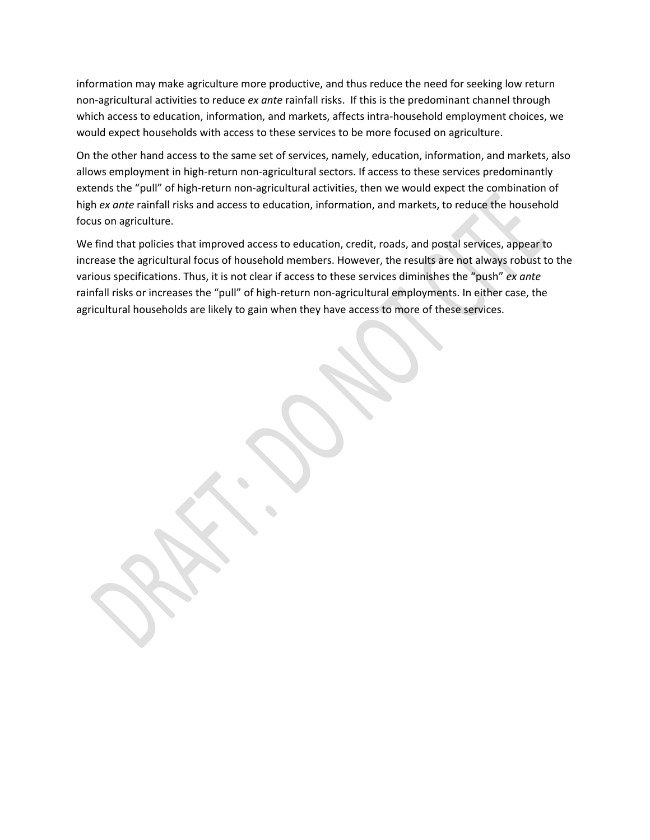information may make agriculture more productive, and thus reduce the need for seeking low return non‐agricultural activities to reduce *ex ante* rainfall risks. If this is the predominant channel through which access to education, information, and markets, affects intra-household employment choices, we would expect households with access to these services to be more focused on agriculture.

On the other hand access to the same set of services, namely, education, information, and markets, also allows employment in high-return non-agricultural sectors. If access to these services predominantly extends the "pull" of high-return non-agricultural activities, then we would expect the combination of high *ex ante* rainfall risks and access to education, information, and markets, to reduce the household focus on agriculture.

We find that policies that improved access to education, credit, roads, and postal services, appear to increase the agricultural focus of household members. However, the results are not always robust to the various specifications. Thus, it is not clear if access to these services diminishes the "push" *ex ante* rainfall risks or increases the "pull" of high-return non-agricultural employments. In either case, the agricultural households are likely to gain when they have access to more of these services.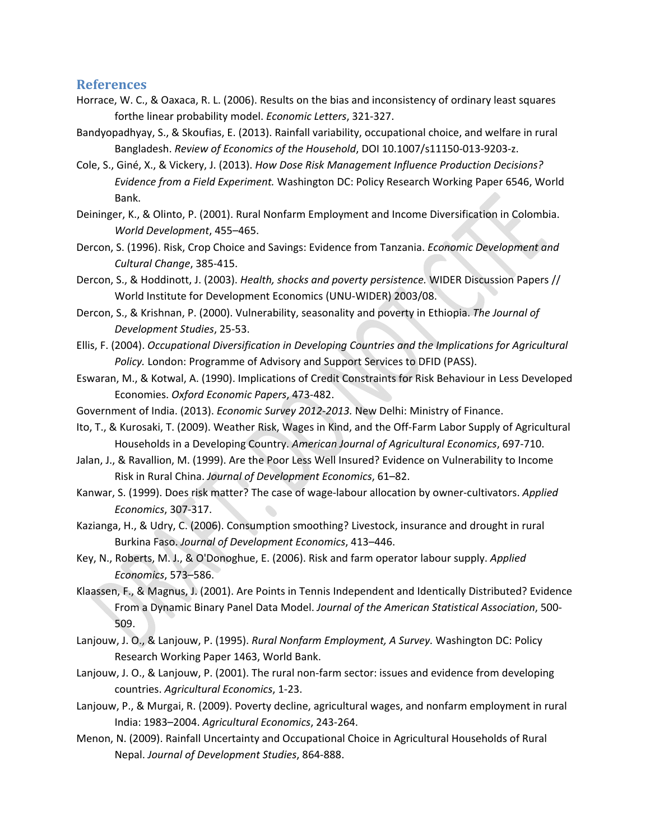### **References**

- Horrace, W. C., & Oaxaca, R. L. (2006). Results on the bias and inconsistency of ordinary least squares forthe linear probability model. *Economic Letters*, 321‐327.
- Bandyopadhyay, S., & Skoufias, E. (2013). Rainfall variability, occupational choice, and welfare in rural Bangladesh. *Review of Economics of the Household*, DOI 10.1007/s11150‐013‐9203‐z.
- Cole, S., Giné, X., & Vickery, J. (2013). *How Dose Risk Management Influence Production Decisions? Evidence from a Field Experiment.* Washington DC: Policy Research Working Paper 6546, World Bank.
- Deininger, K., & Olinto, P. (2001). Rural Nonfarm Employment and Income Diversification in Colombia. *World Development*, 455–465.
- Dercon, S. (1996). Risk, Crop Choice and Savings: Evidence from Tanzania. *Economic Development and Cultural Change*, 385‐415.
- Dercon, S., & Hoddinott, J. (2003). *Health, shocks and poverty persistence.* WIDER Discussion Papers // World Institute for Development Economics (UNU‐WIDER) 2003/08.
- Dercon, S., & Krishnan, P. (2000). Vulnerability, seasonality and poverty in Ethiopia. *The Journal of Development Studies*, 25‐53.
- Ellis, F. (2004). *Occupational Diversification in Developing Countries and the Implications for Agricultural Policy.* London: Programme of Advisory and Support Services to DFID (PASS).
- Eswaran, M., & Kotwal, A. (1990). Implications of Credit Constraints for Risk Behaviour in Less Developed Economies. *Oxford Economic Papers*, 473‐482.
- Government of India. (2013). *Economic Survey 2012‐2013.* New Delhi: Ministry of Finance.
- Ito, T., & Kurosaki, T. (2009). Weather Risk, Wages in Kind, and the Off‐Farm Labor Supply of Agricultural Households in a Developing Country. *American Journal of Agricultural Economics*, 697‐710.
- Jalan, J., & Ravallion, M. (1999). Are the Poor Less Well Insured? Evidence on Vulnerability to Income Risk in Rural China. *Journal of Development Economics*, 61–82.
- Kanwar, S. (1999). Does risk matter? The case of wage‐labour allocation by owner‐cultivators. *Applied Economics*, 307‐317.
- Kazianga, H., & Udry, C. (2006). Consumption smoothing? Livestock, insurance and drought in rural Burkina Faso. *Journal of Development Economics*, 413–446.
- Key, N., Roberts, M. J., & O'Donoghue, E. (2006). Risk and farm operator labour supply. *Applied Economics*, 573–586.
- Klaassen, F., & Magnus, J. (2001). Are Points in Tennis Independent and Identically Distributed? Evidence From a Dynamic Binary Panel Data Model. *Journal of the American Statistical Association*, 500‐ 509.
- Lanjouw, J. O., & Lanjouw, P. (1995). *Rural Nonfarm Employment, A Survey.* Washington DC: Policy Research Working Paper 1463, World Bank.
- Lanjouw, J. O., & Lanjouw, P. (2001). The rural non-farm sector: issues and evidence from developing countries. *Agricultural Economics*, 1‐23.
- Lanjouw, P., & Murgai, R. (2009). Poverty decline, agricultural wages, and nonfarm employment in rural India: 1983–2004. *Agricultural Economics*, 243‐264.
- Menon, N. (2009). Rainfall Uncertainty and Occupational Choice in Agricultural Households of Rural Nepal. *Journal of Development Studies*, 864‐888.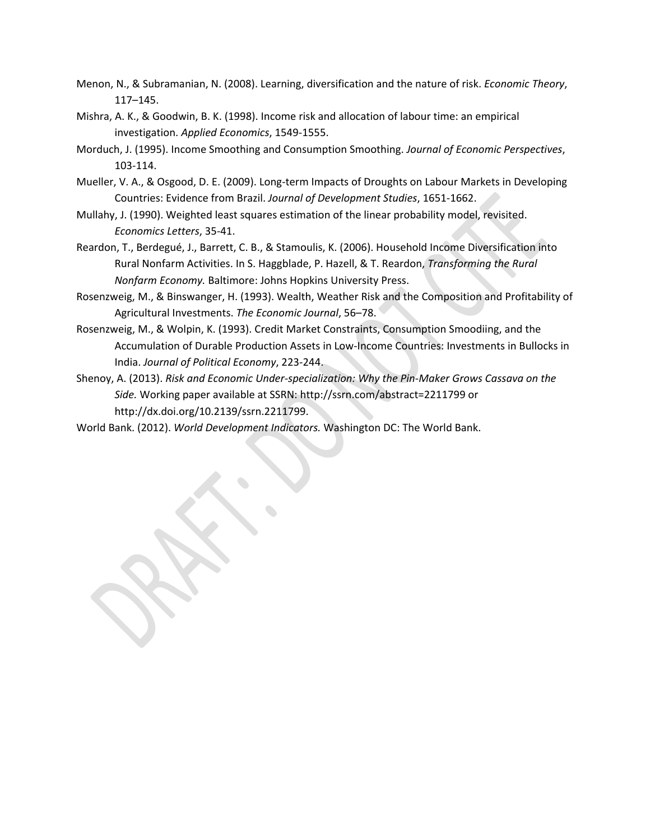- Menon, N., & Subramanian, N. (2008). Learning, diversification and the nature of risk. *Economic Theory*, 117–145.
- Mishra, A. K., & Goodwin, B. K. (1998). Income risk and allocation of labour time: an empirical investigation. *Applied Economics*, 1549‐1555.
- Morduch, J. (1995). Income Smoothing and Consumption Smoothing. *Journal of Economic Perspectives*, 103‐114.
- Mueller, V. A., & Osgood, D. E. (2009). Long‐term Impacts of Droughts on Labour Markets in Developing Countries: Evidence from Brazil. *Journal of Development Studies*, 1651‐1662.
- Mullahy, J. (1990). Weighted least squares estimation of the linear probability model, revisited. *Economics Letters*, 35‐41.
- Reardon, T., Berdegué, J., Barrett, C. B., & Stamoulis, K. (2006). Household Income Diversification into Rural Nonfarm Activities. In S. Haggblade, P. Hazell, & T. Reardon, *Transforming the Rural Nonfarm Economy.* Baltimore: Johns Hopkins University Press.
- Rosenzweig, M., & Binswanger, H. (1993). Wealth, Weather Risk and the Composition and Profitability of Agricultural Investments. *The Economic Journal*, 56–78.
- Rosenzweig, M., & Wolpin, K. (1993). Credit Market Constraints, Consumption Smoodiing, and the Accumulation of Durable Production Assets in Low‐Income Countries: Investments in Bullocks in India. *Journal of Political Economy*, 223‐244.
- Shenoy, A. (2013). *Risk and Economic Under‐specialization: Why the Pin‐Maker Grows Cassava on the Side.* Working paper available at SSRN: http://ssrn.com/abstract=2211799 or http://dx.doi.org/10.2139/ssrn.2211799.

World Bank. (2012). *World Development Indicators.* Washington DC: The World Bank.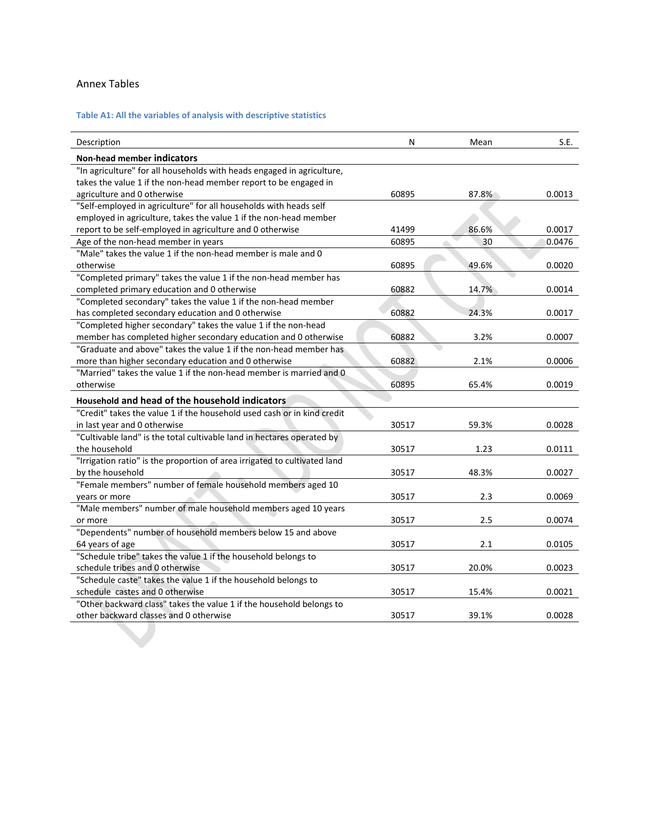### Annex Tables

### **Table A1: All the variables of analysis with descriptive statistics**

| Description                                                               | N     | Mean  | S.E.   |
|---------------------------------------------------------------------------|-------|-------|--------|
| <b>Non-head member indicators</b>                                         |       |       |        |
| "In agriculture" for all households with heads engaged in agriculture,    |       |       |        |
| takes the value 1 if the non-head member report to be engaged in          |       |       |        |
| agriculture and 0 otherwise                                               | 60895 | 87.8% | 0.0013 |
| "Self-employed in agriculture" for all households with heads self         |       |       |        |
| employed in agriculture, takes the value 1 if the non-head member         |       |       |        |
| report to be self-employed in agriculture and 0 otherwise                 | 41499 | 86.6% | 0.0017 |
| Age of the non-head member in years                                       | 60895 | 30    | 0.0476 |
| "Male" takes the value 1 if the non-head member is male and 0             |       |       |        |
| otherwise                                                                 | 60895 | 49.6% | 0.0020 |
| "Completed primary" takes the value 1 if the non-head member has          |       |       |        |
| completed primary education and 0 otherwise                               | 60882 | 14.7% | 0.0014 |
| "Completed secondary" takes the value 1 if the non-head member            |       |       |        |
| has completed secondary education and 0 otherwise                         | 60882 | 24.3% | 0.0017 |
| "Completed higher secondary" takes the value 1 if the non-head            |       |       |        |
| member has completed higher secondary education and 0 otherwise           | 60882 | 3.2%  | 0.0007 |
| "Graduate and above" takes the value 1 if the non-head member has         |       |       |        |
| more than higher secondary education and 0 otherwise                      | 60882 | 2.1%  | 0.0006 |
| "Married" takes the value 1 if the non-head member is married and 0       |       |       |        |
| otherwise                                                                 | 60895 | 65.4% | 0.0019 |
| Household and head of the household indicators                            |       |       |        |
| "Credit" takes the value 1 if the household used cash or in kind credit   |       |       |        |
| in last year and 0 otherwise                                              | 30517 | 59.3% | 0.0028 |
| "Cultivable land" is the total cultivable land in hectares operated by    |       |       |        |
| the household                                                             | 30517 | 1.23  | 0.0111 |
| "Irrigation ratio" is the proportion of area irrigated to cultivated land |       |       |        |
| by the household                                                          | 30517 | 48.3% | 0.0027 |
| "Female members" number of female household members aged 10               |       |       |        |
| years or more                                                             | 30517 | 2.3   | 0.0069 |
| "Male members" number of male household members aged 10 years             |       |       |        |
| or more                                                                   | 30517 | 2.5   | 0.0074 |
| "Dependents" number of household members below 15 and above               |       |       |        |
| 64 years of age                                                           | 30517 | 2.1   | 0.0105 |
| "Schedule tribe" takes the value 1 if the household belongs to            |       |       |        |
| schedule tribes and 0 otherwise                                           | 30517 | 20.0% | 0.0023 |
| "Schedule caste" takes the value 1 if the household belongs to            |       |       |        |
| schedule castes and 0 otherwise                                           | 30517 | 15.4% | 0.0021 |
| "Other backward class" takes the value 1 if the household belongs to      |       |       |        |
| other backward classes and 0 otherwise                                    | 30517 | 39.1% | 0.0028 |
|                                                                           |       |       |        |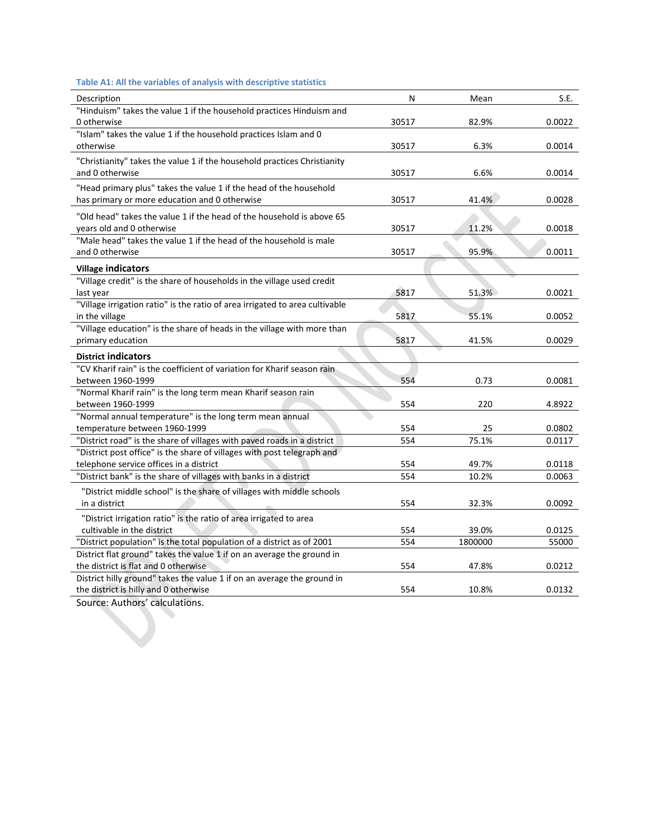### **Table A1: All the variables of analysis with descriptive statistics**

| Description                                                                                                      | N     | Mean    | S.E.   |
|------------------------------------------------------------------------------------------------------------------|-------|---------|--------|
| "Hinduism" takes the value 1 if the household practices Hinduism and                                             |       |         |        |
| 0 otherwise                                                                                                      | 30517 | 82.9%   | 0.0022 |
| "Islam" takes the value 1 if the household practices Islam and 0                                                 |       |         |        |
| otherwise                                                                                                        | 30517 | 6.3%    | 0.0014 |
| "Christianity" takes the value 1 if the household practices Christianity                                         |       |         |        |
| and 0 otherwise                                                                                                  | 30517 | 6.6%    | 0.0014 |
| "Head primary plus" takes the value 1 if the head of the household                                               |       |         |        |
| has primary or more education and 0 otherwise                                                                    | 30517 | 41.4%   | 0.0028 |
| "Old head" takes the value 1 if the head of the household is above 65                                            |       |         |        |
| years old and 0 otherwise                                                                                        | 30517 | 11.2%   | 0.0018 |
| "Male head" takes the value 1 if the head of the household is male                                               |       |         |        |
| and 0 otherwise                                                                                                  | 30517 | 95.9%   | 0.0011 |
|                                                                                                                  |       |         |        |
| <b>Village indicators</b><br>"Village credit" is the share of households in the village used credit              |       |         |        |
|                                                                                                                  |       |         |        |
| last year<br>"Village irrigation ratio" is the ratio of area irrigated to area cultivable                        | 5817  | 51.3%   | 0.0021 |
|                                                                                                                  |       |         |        |
| in the village<br>"Village education" is the share of heads in the village with more than                        | 5817  | 55.1%   | 0.0052 |
| primary education                                                                                                | 5817  | 41.5%   | 0.0029 |
| <b>District indicators</b>                                                                                       |       |         |        |
|                                                                                                                  |       |         |        |
|                                                                                                                  |       |         |        |
| "CV Kharif rain" is the coefficient of variation for Kharif season rain                                          |       |         |        |
| between 1960-1999                                                                                                | 554   | 0.73    | 0.0081 |
| "Normal Kharif rain" is the long term mean Kharif season rain                                                    |       |         |        |
| between 1960-1999                                                                                                | 554   | 220     | 4.8922 |
| "Normal annual temperature" is the long term mean annual                                                         |       |         |        |
| temperature between 1960-1999                                                                                    | 554   | 25      | 0.0802 |
| "District road" is the share of villages with paved roads in a district                                          | 554   | 75.1%   | 0.0117 |
| "District post office" is the share of villages with post telegraph and                                          |       |         |        |
| telephone service offices in a district                                                                          | 554   | 49.7%   | 0.0118 |
| "District bank" is the share of villages with banks in a district                                                | 554   | 10.2%   | 0.0063 |
| "District middle school" is the share of villages with middle schools                                            |       |         |        |
| in a district                                                                                                    | 554   | 32.3%   | 0.0092 |
| "District irrigation ratio" is the ratio of area irrigated to area                                               |       |         |        |
| cultivable in the district                                                                                       | 554   | 39.0%   | 0.0125 |
| "District population" is the total population of a district as of 2001                                           | 554   | 1800000 | 55000  |
| District flat ground" takes the value 1 if on an average the ground in                                           |       |         |        |
| the district is flat and 0 otherwise                                                                             | 554   | 47.8%   | 0.0212 |
| District hilly ground" takes the value 1 if on an average the ground in<br>the district is hilly and 0 otherwise | 554   | 10.8%   | 0.0132 |

Source: Authors' calculations.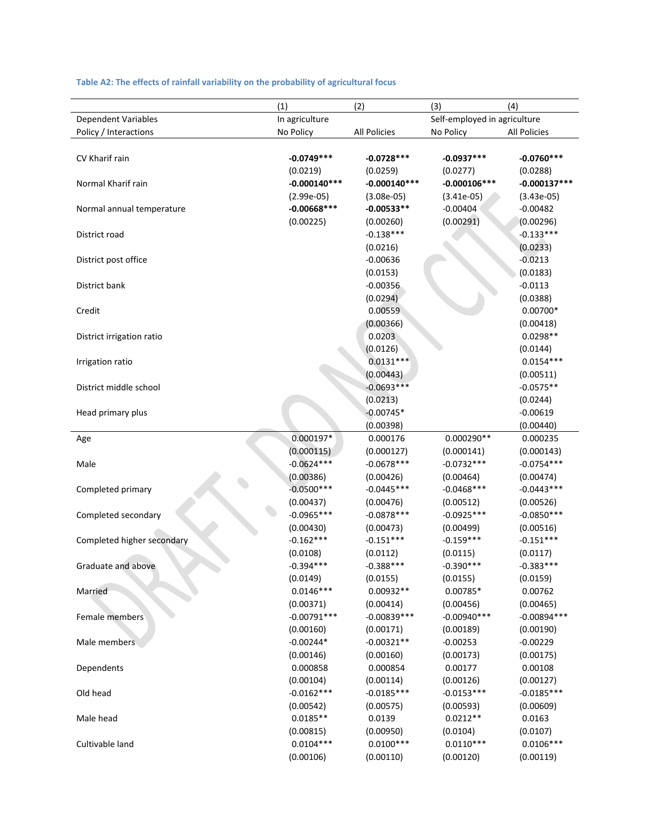### **Table A2: The effects of rainfall variability on the probability of agricultural focus**

|                            | (1)            | (2)            | (3)                          | (4)                 |
|----------------------------|----------------|----------------|------------------------------|---------------------|
| Dependent Variables        | In agriculture |                | Self-employed in agriculture |                     |
| Policy / Interactions      | No Policy      | All Policies   | No Policy                    | <b>All Policies</b> |
|                            |                |                |                              |                     |
| CV Kharif rain             | $-0.0749***$   | $-0.0728***$   | $-0.0937***$                 | $-0.0760***$        |
|                            | (0.0219)       | (0.0259)       | (0.0277)                     | (0.0288)            |
| Normal Kharif rain         | $-0.000140***$ | $-0.000140***$ | $-0.000106***$               | $-0.000137***$      |
|                            | $(2.99e-05)$   | $(3.08e-05)$   | $(3.41e-05)$                 | $(3.43e-05)$        |
| Normal annual temperature  | $-0.00668***$  | $-0.00533**$   | $-0.00404$                   | $-0.00482$          |
|                            | (0.00225)      | (0.00260)      | (0.00291)                    | (0.00296)           |
| District road              |                | $-0.138***$    |                              | $-0.133***$         |
|                            |                | (0.0216)       |                              | (0.0233)            |
| District post office       |                | $-0.00636$     |                              | $-0.0213$           |
|                            |                | (0.0153)       |                              | (0.0183)            |
| District bank              |                | $-0.00356$     |                              | $-0.0113$           |
|                            |                | (0.0294)       |                              | (0.0388)            |
| Credit                     |                | 0.00559        |                              | $0.00700*$          |
|                            |                | (0.00366)      |                              | (0.00418)           |
| District irrigation ratio  |                | 0.0203         |                              | $0.0298**$          |
|                            |                | (0.0126)       |                              | (0.0144)            |
| Irrigation ratio           |                | $0.0131***$    |                              | $0.0154***$         |
|                            |                | (0.00443)      |                              | (0.00511)           |
| District middle school     |                | $-0.0693***$   |                              | $-0.0575**$         |
|                            |                | (0.0213)       |                              | (0.0244)            |
| Head primary plus          |                | $-0.00745*$    |                              | $-0.00619$          |
|                            |                | (0.00398)      |                              | (0.00440)           |
| Age                        | $0.000197*$    | 0.000176       | 0.000290**                   | 0.000235            |
|                            | (0.000115)     | (0.000127)     | (0.000141)                   | (0.000143)          |
| Male                       | $-0.0624***$   | $-0.0678***$   | $-0.0732***$                 | $-0.0754***$        |
|                            | (0.00386)      | (0.00426)      | (0.00464)                    | (0.00474)           |
| Completed primary          | $-0.0500***$   | $-0.0445***$   | $-0.0468$ ***                | $-0.0443***$        |
|                            | (0.00437)      | (0.00476)      | (0.00512)                    | (0.00526)           |
| Completed secondary        | $-0.0965***$   | $-0.0878***$   | $-0.0925***$                 | $-0.0850***$        |
|                            | (0.00430)      | (0.00473)      | (0.00499)                    | (0.00516)           |
| Completed higher secondary | $-0.162***$    | $-0.151***$    | $-0.159***$                  | $-0.151***$         |
|                            | (0.0108)       | (0.0112)       | (0.0115)                     | (0.0117)            |
| Graduate and above         | $-0.394***$    | $-0.388***$    | $-0.390***$                  | $-0.383***$         |
|                            | (0.0149)       | (0.0155)       | (0.0155)                     | (0.0159)            |
| Married                    | $0.0146***$    | 0.00932**      | 0.00785*                     | 0.00762             |
|                            | (0.00371)      | (0.00414)      | (0.00456)                    | (0.00465)           |
| Female members             | $-0.00791***$  | $-0.00839***$  | $-0.00940***$                | $-0.00894***$       |
|                            | (0.00160)      | (0.00171)      | (0.00189)                    | (0.00190)           |
| Male members               | $-0.00244*$    | $-0.00321**$   | $-0.00253$                   | $-0.00229$          |
|                            | (0.00146)      | (0.00160)      | (0.00173)                    | (0.00175)           |
| Dependents                 | 0.000858       | 0.000854       | 0.00177                      | 0.00108             |
|                            | (0.00104)      | (0.00114)      | (0.00126)                    | (0.00127)           |
| Old head                   | $-0.0162***$   | $-0.0185***$   | $-0.0153***$                 | $-0.0185***$        |
|                            | (0.00542)      | (0.00575)      | (0.00593)                    | (0.00609)           |
| Male head                  | $0.0185**$     | 0.0139         | $0.0212**$                   | 0.0163              |
|                            | (0.00815)      | (0.00950)      | (0.0104)                     | (0.0107)            |
| Cultivable land            | $0.0104***$    | $0.0100***$    | $0.0110***$                  | $0.0106***$         |
|                            | (0.00106)      | (0.00110)      | (0.00120)                    | (0.00119)           |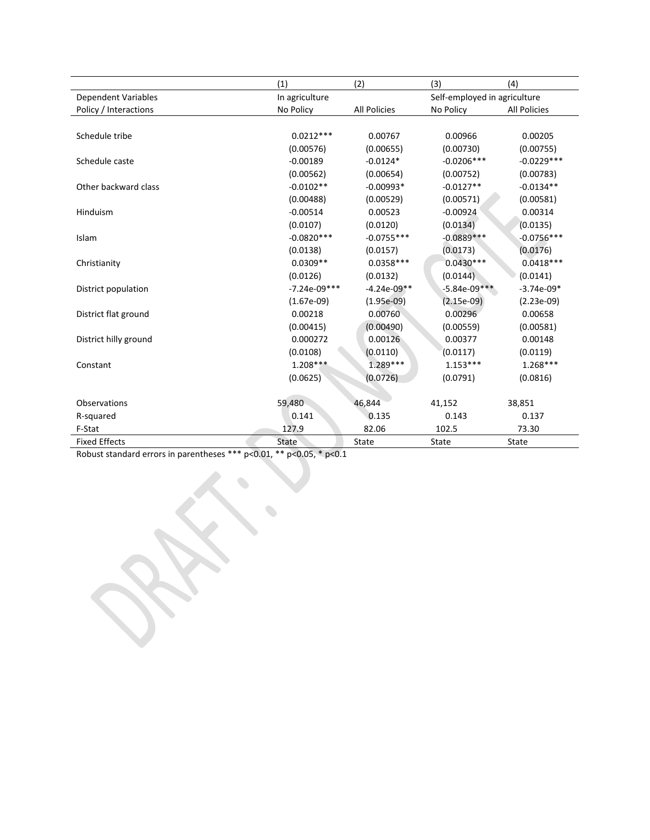|                            | (1)            | (2)                 | (3)                          | (4)                 |
|----------------------------|----------------|---------------------|------------------------------|---------------------|
| <b>Dependent Variables</b> | In agriculture |                     | Self-employed in agriculture |                     |
| Policy / Interactions      | No Policy      | <b>All Policies</b> | No Policy                    | <b>All Policies</b> |
|                            |                |                     |                              |                     |
| Schedule tribe             | $0.0212***$    | 0.00767             | 0.00966                      | 0.00205             |
|                            | (0.00576)      | (0.00655)           | (0.00730)                    | (0.00755)           |
| Schedule caste             | $-0.00189$     | $-0.0124*$          | $-0.0206***$                 | $-0.0229***$        |
|                            | (0.00562)      | (0.00654)           | (0.00752)                    | (0.00783)           |
| Other backward class       | $-0.0102**$    | $-0.00993*$         | $-0.0127**$                  | $-0.0134**$         |
|                            | (0.00488)      | (0.00529)           | (0.00571)                    | (0.00581)           |
| Hinduism                   | $-0.00514$     | 0.00523             | $-0.00924$                   | 0.00314             |
|                            | (0.0107)       | (0.0120)            | (0.0134)                     | (0.0135)            |
| Islam                      | $-0.0820***$   | $-0.0755***$        | $-0.0889***$                 | $-0.0756***$        |
|                            | (0.0138)       | (0.0157)            | (0.0173)                     | (0.0176)            |
| Christianity               | $0.0309**$     | $0.0358***$         | $0.0430***$                  | $0.0418***$         |
|                            | (0.0126)       | (0.0132)            | (0.0144)                     | (0.0141)            |
| District population        | $-7.24e-09***$ | $-4.24e-09**$       | $-5.84e-09***$               | $-3.74e-09*$        |
|                            | $(1.67e-09)$   | $(1.95e-09)$        | $(2.15e-09)$                 | $(2.23e-09)$        |
| District flat ground       | 0.00218        | 0.00760             | 0.00296                      | 0.00658             |
|                            | (0.00415)      | (0.00490)           | (0.00559)                    | (0.00581)           |
| District hilly ground      | 0.000272       | 0.00126             | 0.00377                      | 0.00148             |
|                            | (0.0108)       | (0.0110)            | (0.0117)                     | (0.0119)            |
| Constant                   | $1.208***$     | $1.289***$          | $1.153***$                   | $1.268***$          |
|                            | (0.0625)       | (0.0726)            | (0.0791)                     | (0.0816)            |
|                            |                |                     |                              |                     |
| Observations               | 59,480         | 46,844              | 41,152                       | 38,851              |
| R-squared                  | 0.141          | 0.135               | 0.143                        | 0.137               |
| F-Stat                     | 127.9          | 82.06               | 102.5                        | 73.30               |
| <b>Fixed Effects</b>       | State          | State               | State                        | State               |

Robust standard errors in parentheses \*\*\* p<0.01, \*\* p<0.05, \* p<0.1

 $\begin{picture}(20,20) \put(0,0){\line(1,0){10}} \put(10,0){\line(1,0){10}} \put(10,0){\line(1,0){10}} \put(10,0){\line(1,0){10}} \put(10,0){\line(1,0){10}} \put(10,0){\line(1,0){10}} \put(10,0){\line(1,0){10}} \put(10,0){\line(1,0){10}} \put(10,0){\line(1,0){10}} \put(10,0){\line(1,0){10}} \put(10,0){\line(1,0){10}} \put(10,0){\line(1$ 

 $\begin{picture}(20,20) \put(0,0){\dashbox{0.5}(20,0){ }} \thicklines \put(0,0){\dashbox{0.5}(20,0){ }} \thicklines \put(0,0){\dashbox{0.5}(20,0){ }} \thicklines \put(0,0){\dashbox{0.5}(20,0){ }} \thicklines \put(0,0){\dashbox{0.5}(20,0){ }} \thicklines \put(0,0){\dashbox{0.5}(20,0){ }} \thicklines \put(0,0){\dashbox{0.5}(20,0){ }} \thicklines \put(0,0){\dashbox{0.5}(20,0){ }} \thicklines \put(0,0){\dash$ 

*Communication*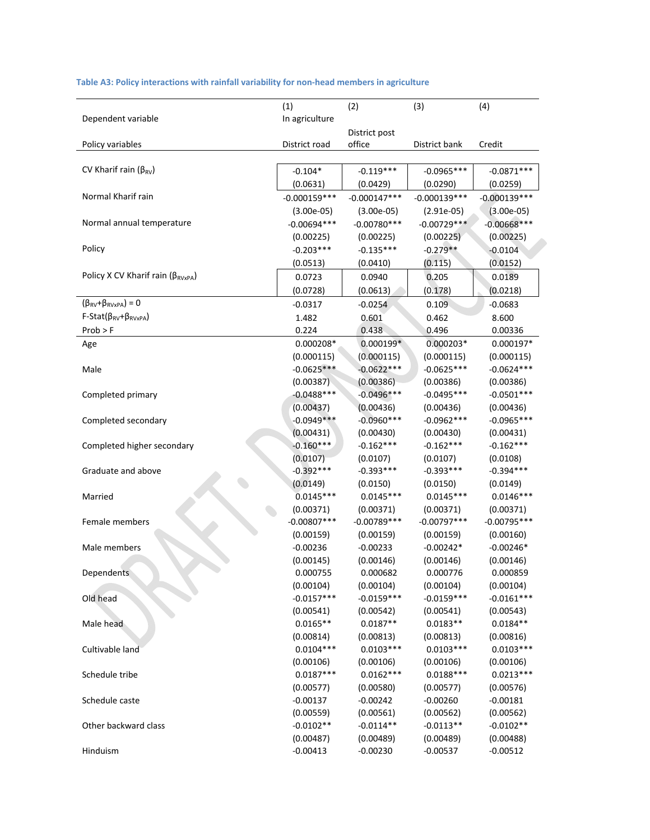|  |  |  | Table A3: Policy interactions with rainfall variability for non-head members in agriculture |  |
|--|--|--|---------------------------------------------------------------------------------------------|--|
|--|--|--|---------------------------------------------------------------------------------------------|--|

|                                             | (1)            | (2)                    | (3)            | (4)            |  |
|---------------------------------------------|----------------|------------------------|----------------|----------------|--|
| Dependent variable                          | In agriculture |                        |                |                |  |
|                                             |                | District post          |                |                |  |
| Policy variables                            | District road  | office                 | District bank  | Credit         |  |
|                                             |                |                        |                |                |  |
| CV Kharif rain $(\beta_{RV})$               | $-0.104*$      | $-0.119***$            | $-0.0965***$   | $-0.0871***$   |  |
|                                             | (0.0631)       | (0.0429)               |                | (0.0259)       |  |
| Normal Kharif rain                          | $-0.000159***$ | $-0.000147***$         | $-0.000139***$ | $-0.000139***$ |  |
|                                             | $(3.00e-05)$   | $(3.00e-05)$           | $(2.91e-05)$   | $(3.00e-05)$   |  |
| Normal annual temperature                   | $-0.00694***$  | $-0.00780***$          | $-0.00729***$  | $-0.00668$ *** |  |
|                                             | (0.00225)      | (0.00225)              | (0.00225)      | (0.00225)      |  |
| Policy                                      | $-0.203***$    | $-0.135***$            | $-0.279**$     | $-0.0104$      |  |
|                                             | (0.0513)       | (0.0410)               | (0.115)        | (0.0152)       |  |
| Policy X CV Kharif rain ( $\beta_{RVxPA}$ ) | 0.0723         | 0.0940                 | 0.205          | 0.0189         |  |
|                                             | (0.0728)       | (0.0613)               | (0.178)        | (0.0218)       |  |
| $(\beta_{RV}+\beta_{RVxPA})=0$              | -0.0317        | $-0.0254$              | 0.109          | $-0.0683$      |  |
| $F-Stat(\beta_{RV}+\beta_{RVxPA})$          | 1.482          | 0.601                  | 0.462          | 8.600          |  |
| Prob > F                                    | 0.224          | 0.438                  | 0.496          | 0.00336        |  |
| Age                                         | 0.000208*      | $0.000199*$            | $0.000203*$    | $0.000197*$    |  |
|                                             | (0.000115)     | (0.000115)             | (0.000115)     | (0.000115)     |  |
| Male                                        | $-0.0625***$   | $-0.0622***$           | $-0.0625***$   | $-0.0624***$   |  |
|                                             | (0.00387)      | (0.00386)              | (0.00386)      | (0.00386)      |  |
| Completed primary                           | $-0.0488$ ***  | $-0.0496***$           | $-0.0495***$   | $-0.0501***$   |  |
|                                             | (0.00437)      | (0.00436)<br>(0.00436) |                | (0.00436)      |  |
| Completed secondary                         | $-0.0949***$   | $-0.0960***$           | $-0.0962***$   | $-0.0965***$   |  |
|                                             | (0.00431)      | (0.00430)<br>(0.00430) |                | (0.00431)      |  |
| Completed higher secondary                  | $-0.160***$    | $-0.162***$            | $-0.162***$    | $-0.162***$    |  |
|                                             | (0.0107)       | (0.0107)               | (0.0107)       | (0.0108)       |  |
| Graduate and above                          | $-0.392***$    | $-0.393***$            | $-0.393***$    | $-0.394***$    |  |
|                                             | (0.0149)       | (0.0150)               | (0.0150)       | (0.0149)       |  |
| Married                                     | $0.0145***$    | $0.0145***$            | $0.0145***$    | $0.0146***$    |  |
|                                             | (0.00371)      | (0.00371)              | (0.00371)      | (0.00371)      |  |
| Female members                              | $-0.00807$ *** | $-0.00789***$          | $-0.00797***$  | $-0.00795***$  |  |
|                                             | (0.00159)      | (0.00159)              | (0.00159)      | (0.00160)      |  |
| Male members                                | $-0.00236$     | $-0.00233$             | $-0.00242*$    | $-0.00246*$    |  |
|                                             | (0.00145)      | (0.00146)              | (0.00146)      | (0.00146)      |  |
| Dependents                                  | 0.000755       | 0.000682               | 0.000776       | 0.000859       |  |
|                                             | (0.00104)      | (0.00104)              | (0.00104)      | (0.00104)      |  |
| Old head                                    | $-0.0157***$   | $-0.0159***$           | $-0.0159***$   | $-0.0161***$   |  |
|                                             | (0.00541)      | (0.00542)              | (0.00541)      | (0.00543)      |  |
| Male head                                   | $0.0165**$     | $0.0187**$             | $0.0183**$     | $0.0184**$     |  |
|                                             | (0.00814)      | (0.00813)              | (0.00813)      | (0.00816)      |  |
| Cultivable land                             | $0.0104***$    | $0.0103***$            | $0.0103***$    | $0.0103***$    |  |
|                                             | (0.00106)      | (0.00106)              | (0.00106)      | (0.00106)      |  |
| Schedule tribe                              | $0.0187***$    | $0.0162***$            | $0.0188***$    | $0.0213***$    |  |
|                                             | (0.00577)      | (0.00580)              | (0.00577)      | (0.00576)      |  |
| Schedule caste                              | $-0.00137$     | $-0.00242$             | $-0.00260$     | $-0.00181$     |  |
|                                             | (0.00559)      | (0.00561)              | (0.00562)      | (0.00562)      |  |
| Other backward class                        | $-0.0102**$    | $-0.0114**$            | $-0.0113**$    | $-0.0102**$    |  |
|                                             | (0.00487)      | (0.00489)              | (0.00489)      | (0.00488)      |  |
| Hinduism                                    | $-0.00413$     | $-0.00230$             | $-0.00537$     | $-0.00512$     |  |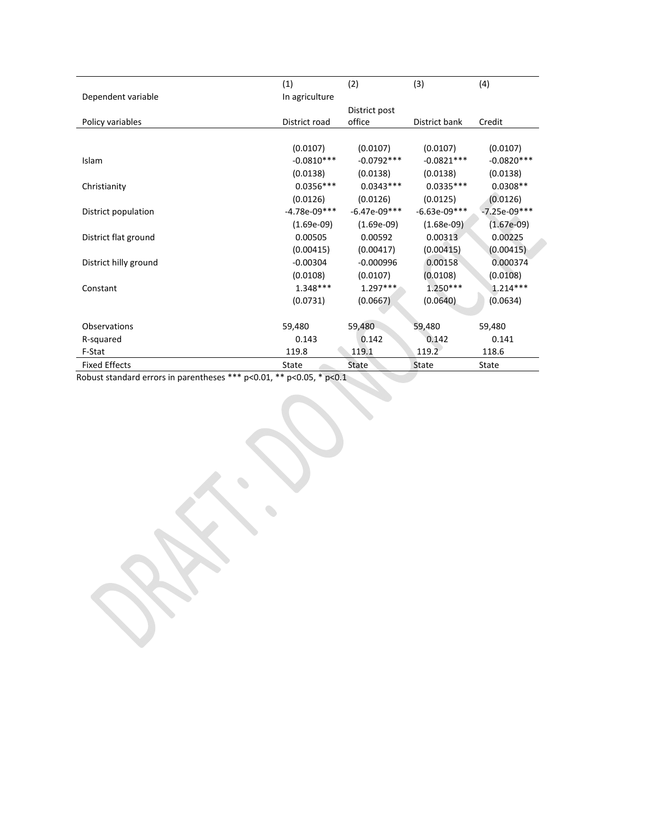|                       | (1)            | (2)            | (3)            | (4)            |  |
|-----------------------|----------------|----------------|----------------|----------------|--|
| Dependent variable    | In agriculture |                |                |                |  |
|                       |                | District post  |                |                |  |
| Policy variables      | District road  | office         | District bank  | Credit         |  |
|                       |                |                |                |                |  |
|                       | (0.0107)       | (0.0107)       | (0.0107)       | (0.0107)       |  |
| Islam                 | $-0.0810***$   | $-0.0792***$   | $-0.0821***$   | $-0.0820***$   |  |
|                       | (0.0138)       | (0.0138)       | (0.0138)       | (0.0138)       |  |
| Christianity          | $0.0356***$    | $0.0343***$    | $0.0335***$    | $0.0308**$     |  |
|                       | (0.0126)       | (0.0126)       | (0.0125)       | (0.0126)       |  |
| District population   | $-4.78e-09***$ | $-6.47e-09***$ | $-6.63e-09***$ | $-7.25e-09***$ |  |
|                       | $(1.69e-09)$   | $(1.69e-09)$   | $(1.68e-09)$   | $(1.67e-09)$   |  |
| District flat ground  | 0.00505        | 0.00592        | 0.00313        | 0.00225        |  |
|                       | (0.00415)      | (0.00417)      | (0.00415)      | (0.00415)      |  |
| District hilly ground | $-0.00304$     | $-0.000996$    | 0.00158        | 0.000374       |  |
|                       | (0.0108)       | (0.0107)       | (0.0108)       | (0.0108)       |  |
| Constant              | $1.348***$     | $1.297***$     | $1.250***$     | $1.214***$     |  |
|                       | (0.0731)       | (0.0667)       | (0.0640)       | (0.0634)       |  |
|                       |                |                |                |                |  |
| Observations          | 59,480         | 59,480         | 59,480         | 59,480         |  |
| R-squared             | 0.143          | 0.142          | 0.142          | 0.141          |  |
| F-Stat                | 119.8          | 119.1          | 119.2          | 118.6          |  |
| <b>Fixed Effects</b>  | State          | State          | State          | State          |  |

Robust standard errors in parentheses \*\*\* p<0.01, \*\* p<0.05, \* p<0.1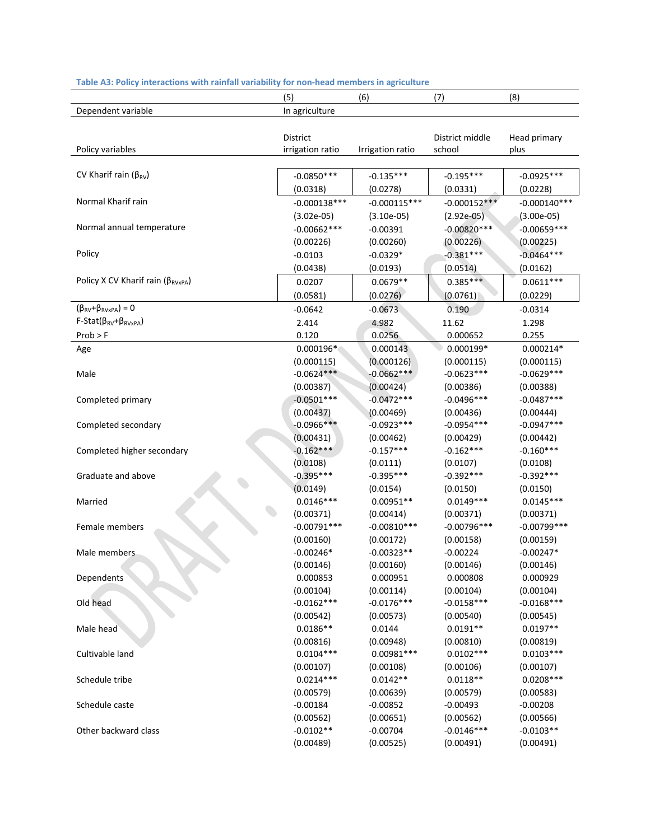| Dependent variable<br>In agriculture<br>District<br>District middle<br>Head primary<br>Policy variables<br>irrigation ratio<br>school<br>Irrigation ratio<br>plus<br>CV Kharif rain ( $\beta_{RV}$ )<br>$-0.0850***$<br>$-0.195***$<br>$-0.0925***$<br>$-0.135***$<br>(0.0318)<br>(0.0331)<br>(0.0228)<br>(0.0278)<br>Normal Kharif rain<br>$-0.000138***$<br>$-0.000115***$<br>$-0.000152***$<br>$-0.000140***$<br>$(3.02e-05)$<br>$(3.10e-05)$<br>$(2.92e-05)$<br>$(3.00e-05)$<br>Normal annual temperature<br>$-0.00662***$<br>$-0.00820***$<br>$-0.00659***$<br>$-0.00391$<br>(0.00226)<br>(0.00260)<br>(0.00226)<br>(0.00225)<br>Policy<br>$-0.381***$<br>$-0.0464***$<br>$-0.0329*$<br>$-0.0103$<br>(0.0438)<br>(0.0193)<br>(0.0514)<br>(0.0162)<br>Policy X CV Kharif rain ( $\beta_{RVxPA}$ )<br>$0.385***$<br>$0.0679**$<br>$0.0611***$<br>0.0207 |           |
|------------------------------------------------------------------------------------------------------------------------------------------------------------------------------------------------------------------------------------------------------------------------------------------------------------------------------------------------------------------------------------------------------------------------------------------------------------------------------------------------------------------------------------------------------------------------------------------------------------------------------------------------------------------------------------------------------------------------------------------------------------------------------------------------------------------------------------------------------------|-----------|
|                                                                                                                                                                                                                                                                                                                                                                                                                                                                                                                                                                                                                                                                                                                                                                                                                                                            |           |
|                                                                                                                                                                                                                                                                                                                                                                                                                                                                                                                                                                                                                                                                                                                                                                                                                                                            |           |
|                                                                                                                                                                                                                                                                                                                                                                                                                                                                                                                                                                                                                                                                                                                                                                                                                                                            |           |
|                                                                                                                                                                                                                                                                                                                                                                                                                                                                                                                                                                                                                                                                                                                                                                                                                                                            |           |
|                                                                                                                                                                                                                                                                                                                                                                                                                                                                                                                                                                                                                                                                                                                                                                                                                                                            |           |
|                                                                                                                                                                                                                                                                                                                                                                                                                                                                                                                                                                                                                                                                                                                                                                                                                                                            |           |
|                                                                                                                                                                                                                                                                                                                                                                                                                                                                                                                                                                                                                                                                                                                                                                                                                                                            |           |
|                                                                                                                                                                                                                                                                                                                                                                                                                                                                                                                                                                                                                                                                                                                                                                                                                                                            |           |
|                                                                                                                                                                                                                                                                                                                                                                                                                                                                                                                                                                                                                                                                                                                                                                                                                                                            |           |
|                                                                                                                                                                                                                                                                                                                                                                                                                                                                                                                                                                                                                                                                                                                                                                                                                                                            |           |
|                                                                                                                                                                                                                                                                                                                                                                                                                                                                                                                                                                                                                                                                                                                                                                                                                                                            |           |
|                                                                                                                                                                                                                                                                                                                                                                                                                                                                                                                                                                                                                                                                                                                                                                                                                                                            |           |
| (0.0581)<br>(0.0276)<br>(0.0761)<br>(0.0229)                                                                                                                                                                                                                                                                                                                                                                                                                                                                                                                                                                                                                                                                                                                                                                                                               |           |
| $(\beta_{RV}+\beta_{RVxPA})=0$<br>0.190<br>$-0.0642$<br>$-0.0673$<br>$-0.0314$                                                                                                                                                                                                                                                                                                                                                                                                                                                                                                                                                                                                                                                                                                                                                                             |           |
| $F-Stat(\beta_{RV}+\beta_{RVxPA})$<br>11.62<br>2.414<br>4.982<br>1.298                                                                                                                                                                                                                                                                                                                                                                                                                                                                                                                                                                                                                                                                                                                                                                                     |           |
| 0.120<br>0.0256<br>0.000652<br>0.255<br>Prob > F                                                                                                                                                                                                                                                                                                                                                                                                                                                                                                                                                                                                                                                                                                                                                                                                           |           |
| $0.000199*$<br>0.000196*<br>0.000143<br>$0.000214*$<br>Age                                                                                                                                                                                                                                                                                                                                                                                                                                                                                                                                                                                                                                                                                                                                                                                                 |           |
| (0.000126)<br>(0.000115)<br>(0.000115)<br>(0.000115)                                                                                                                                                                                                                                                                                                                                                                                                                                                                                                                                                                                                                                                                                                                                                                                                       |           |
| $-0.0624***$<br>$-0.0662***$<br>$-0.0623***$<br>$-0.0629***$<br>Male                                                                                                                                                                                                                                                                                                                                                                                                                                                                                                                                                                                                                                                                                                                                                                                       |           |
| (0.00424)<br>(0.00387)<br>(0.00386)<br>(0.00388)                                                                                                                                                                                                                                                                                                                                                                                                                                                                                                                                                                                                                                                                                                                                                                                                           |           |
| $-0.0472***$<br>$-0.0496***$<br>$-0.0487***$<br>$-0.0501***$<br>Completed primary                                                                                                                                                                                                                                                                                                                                                                                                                                                                                                                                                                                                                                                                                                                                                                          |           |
| (0.00437)<br>(0.00469)<br>(0.00436)<br>(0.00444)                                                                                                                                                                                                                                                                                                                                                                                                                                                                                                                                                                                                                                                                                                                                                                                                           |           |
| $-0.0966***$<br>$-0.0923***$<br>$-0.0954***$<br>$-0.0947***$<br>Completed secondary                                                                                                                                                                                                                                                                                                                                                                                                                                                                                                                                                                                                                                                                                                                                                                        |           |
| (0.00431)<br>(0.00429)<br>(0.00442)<br>(0.00462)                                                                                                                                                                                                                                                                                                                                                                                                                                                                                                                                                                                                                                                                                                                                                                                                           |           |
| $-0.162***$<br>$-0.157***$<br>$-0.162***$<br>$-0.160***$<br>Completed higher secondary                                                                                                                                                                                                                                                                                                                                                                                                                                                                                                                                                                                                                                                                                                                                                                     |           |
| (0.0108)<br>(0.0111)<br>(0.0107)<br>(0.0108)                                                                                                                                                                                                                                                                                                                                                                                                                                                                                                                                                                                                                                                                                                                                                                                                               |           |
| $-0.395***$<br>$-0.395***$<br>$-0.392***$<br>$-0.392***$<br>Graduate and above                                                                                                                                                                                                                                                                                                                                                                                                                                                                                                                                                                                                                                                                                                                                                                             |           |
| (0.0149)<br>(0.0154)<br>(0.0150)<br>(0.0150)                                                                                                                                                                                                                                                                                                                                                                                                                                                                                                                                                                                                                                                                                                                                                                                                               |           |
| $0.0146***$<br>$0.00951**$<br>$0.0149***$<br>$0.0145***$<br>Married                                                                                                                                                                                                                                                                                                                                                                                                                                                                                                                                                                                                                                                                                                                                                                                        |           |
| (0.00371)<br>(0.00414)<br>(0.00371)<br>(0.00371)                                                                                                                                                                                                                                                                                                                                                                                                                                                                                                                                                                                                                                                                                                                                                                                                           |           |
| $-0.00791***$<br>$-0.00810***$<br>$-0.00796***$<br>$-0.00799***$<br>Female members                                                                                                                                                                                                                                                                                                                                                                                                                                                                                                                                                                                                                                                                                                                                                                         |           |
| (0.00160)<br>(0.00172)<br>(0.00158)<br>(0.00159)                                                                                                                                                                                                                                                                                                                                                                                                                                                                                                                                                                                                                                                                                                                                                                                                           |           |
| $-0.00246*$<br>$-0.00323**$<br>$-0.00224$<br>$-0.00247*$<br>Male members                                                                                                                                                                                                                                                                                                                                                                                                                                                                                                                                                                                                                                                                                                                                                                                   |           |
| (0.00146)<br>(0.00160)<br>(0.00146)<br>(0.00146)                                                                                                                                                                                                                                                                                                                                                                                                                                                                                                                                                                                                                                                                                                                                                                                                           |           |
| 0.000853<br>0.000951<br>0.000808<br>0.000929<br>Dependents                                                                                                                                                                                                                                                                                                                                                                                                                                                                                                                                                                                                                                                                                                                                                                                                 |           |
| (0.00104)<br>(0.00114)<br>(0.00104)<br>(0.00104)<br>Old head<br>$-0.0162***$<br>$-0.0176***$<br>$-0.0158***$<br>$-0.0168***$                                                                                                                                                                                                                                                                                                                                                                                                                                                                                                                                                                                                                                                                                                                               |           |
| (0.00542)<br>(0.00540)<br>(0.00573)<br>(0.00545)                                                                                                                                                                                                                                                                                                                                                                                                                                                                                                                                                                                                                                                                                                                                                                                                           |           |
| $0.0186**$<br>$0.0191**$<br>$0.0197**$<br>0.0144<br>Male head                                                                                                                                                                                                                                                                                                                                                                                                                                                                                                                                                                                                                                                                                                                                                                                              |           |
| (0.00816)<br>(0.00948)<br>(0.00810)<br>(0.00819)                                                                                                                                                                                                                                                                                                                                                                                                                                                                                                                                                                                                                                                                                                                                                                                                           |           |
| $0.0104***$<br>0.00981 ***<br>$0.0102***$<br>$0.0103***$<br>Cultivable land                                                                                                                                                                                                                                                                                                                                                                                                                                                                                                                                                                                                                                                                                                                                                                                |           |
| (0.00107)<br>(0.00108)<br>(0.00106)<br>(0.00107)                                                                                                                                                                                                                                                                                                                                                                                                                                                                                                                                                                                                                                                                                                                                                                                                           |           |
| $0.0214***$<br>$0.0142**$<br>$0.0118**$<br>$0.0208***$<br>Schedule tribe                                                                                                                                                                                                                                                                                                                                                                                                                                                                                                                                                                                                                                                                                                                                                                                   |           |
| (0.00579)<br>(0.00639)<br>(0.00579)<br>(0.00583)                                                                                                                                                                                                                                                                                                                                                                                                                                                                                                                                                                                                                                                                                                                                                                                                           |           |
| $-0.00184$<br>$-0.00852$<br>$-0.00493$<br>$-0.00208$<br>Schedule caste                                                                                                                                                                                                                                                                                                                                                                                                                                                                                                                                                                                                                                                                                                                                                                                     |           |
| (0.00562)<br>(0.00651)<br>(0.00562)<br>(0.00566)                                                                                                                                                                                                                                                                                                                                                                                                                                                                                                                                                                                                                                                                                                                                                                                                           |           |
| $-0.0102**$<br>$-0.0146***$<br>$-0.0103**$<br>Other backward class<br>$-0.00704$                                                                                                                                                                                                                                                                                                                                                                                                                                                                                                                                                                                                                                                                                                                                                                           |           |
|                                                                                                                                                                                                                                                                                                                                                                                                                                                                                                                                                                                                                                                                                                                                                                                                                                                            | (0.00491) |

#### **Table A3: Policy interactions with rainfall variability for non‐head members in agriculture**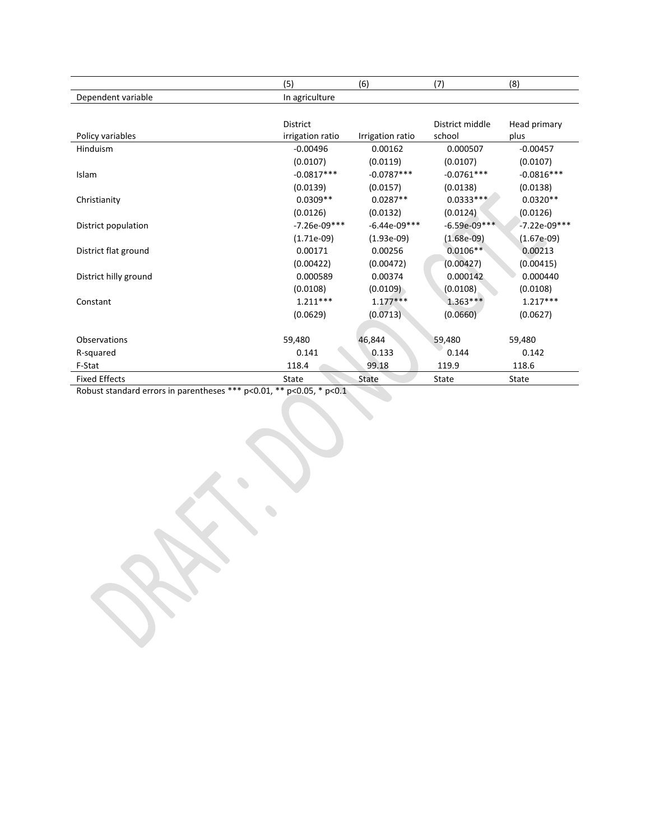|                       | (5)              | (6)              | (7)             | (8)            |
|-----------------------|------------------|------------------|-----------------|----------------|
| Dependent variable    | In agriculture   |                  |                 |                |
|                       |                  |                  |                 |                |
|                       | <b>District</b>  |                  | District middle | Head primary   |
| Policy variables      | irrigation ratio | Irrigation ratio | school          | plus           |
| Hinduism              | $-0.00496$       | 0.00162          | 0.000507        | $-0.00457$     |
|                       | (0.0107)         | (0.0119)         | (0.0107)        | (0.0107)       |
| Islam                 | $-0.0817***$     | $-0.0787***$     | $-0.0761***$    | $-0.0816***$   |
|                       | (0.0139)         | (0.0157)         | (0.0138)        | (0.0138)       |
| Christianity          | $0.0309**$       | $0.0287**$       | $0.0333***$     | $0.0320**$     |
|                       | (0.0126)         | (0.0132)         | (0.0124)        | (0.0126)       |
| District population   | $-7.26e-09***$   | $-6.44e-09***$   | $-6.59e-09***$  | $-7.22e-09***$ |
|                       | $(1.71e-09)$     | $(1.93e-09)$     | $(1.68e-09)$    | $(1.67e-09)$   |
| District flat ground  | 0.00171          | 0.00256          | $0.0106**$      | 0.00213        |
|                       | (0.00422)        | (0.00472)        | (0.00427)       | (0.00415)      |
| District hilly ground | 0.000589         | 0.00374          | 0.000142        | 0.000440       |
|                       | (0.0108)         | (0.0109)         | (0.0108)        | (0.0108)       |
| Constant              | $1.211***$       | $1.177***$       | $1.363***$      | $1.217***$     |
|                       | (0.0629)         | (0.0713)         | (0.0660)        | (0.0627)       |
|                       |                  |                  |                 |                |
| <b>Observations</b>   | 59,480           | 46,844           | 59.480          | 59,480         |
| R-squared             | 0.141            | 0.133            | 0.144           | 0.142          |
| F-Stat                | 118.4            | 99.18            | 119.9           | 118.6          |
| <b>Fixed Effects</b>  | State            | State            | State           | State          |

Robust standard errors in parentheses \*\*\* p<0.01, \*\* p<0.05, \* p<0.1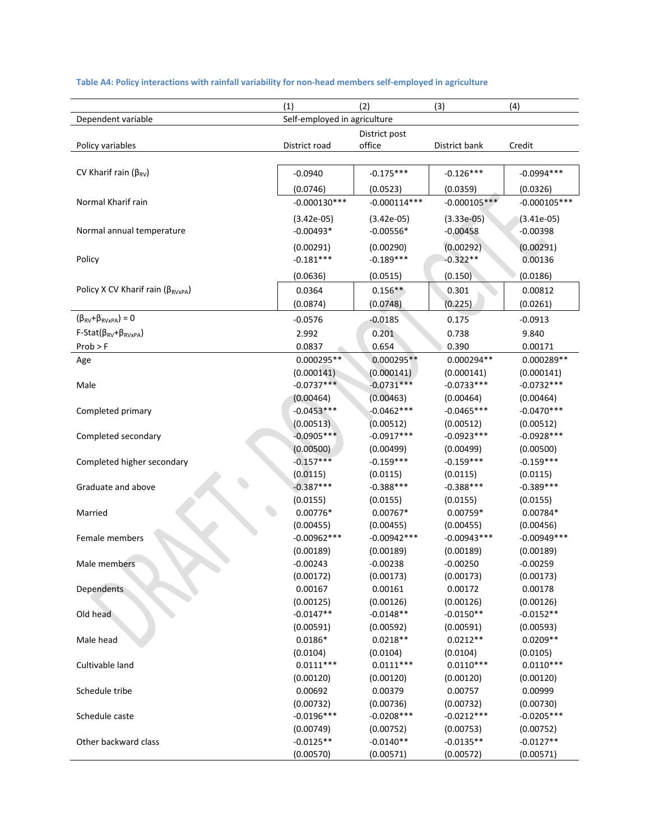|                                             | (2)<br>(1)<br>(3)<br>(4)     |                           |                           |                           |  |
|---------------------------------------------|------------------------------|---------------------------|---------------------------|---------------------------|--|
| Dependent variable                          | Self-employed in agriculture |                           |                           |                           |  |
|                                             |                              | District post             |                           |                           |  |
| Policy variables                            | District road                | office                    | District bank             | Credit                    |  |
|                                             |                              |                           |                           |                           |  |
| CV Kharif rain ( $\beta_{RV}$ )             | $-0.0940$                    | $-0.175***$               | $-0.126***$               | $-0.0994***$              |  |
|                                             | (0.0746)                     | (0.0523)                  | (0.0359)                  | (0.0326)                  |  |
| Normal Kharif rain                          | $-0.000130***$               | $-0.000114***$            | $-0.000105***$            | $-0.000105***$            |  |
|                                             | $(3.42e-05)$                 | $(3.42e-05)$              | $(3.33e-05)$              | $(3.41e-05)$              |  |
| Normal annual temperature                   | $-0.00493*$                  | $-0.00556*$               | $-0.00458$                | $-0.00398$                |  |
|                                             |                              |                           |                           |                           |  |
|                                             | (0.00291)                    | (0.00290)                 | (0.00292)                 | (0.00291)                 |  |
| Policy                                      | $-0.181***$                  | $-0.189***$               | $-0.322**$                | 0.00136                   |  |
|                                             | (0.0636)                     | (0.0515)                  | (0.150)                   | (0.0186)                  |  |
| Policy X CV Kharif rain ( $\beta_{RVxPA}$ ) | 0.0364                       | $0.156**$                 | 0.301                     | 0.00812                   |  |
|                                             | (0.0874)                     | (0.0748)                  | (0.225)                   | (0.0261)                  |  |
| $(\beta_{RV}+\beta_{RVxPA})=0$              | $-0.0576$                    | $-0.0185$                 | 0.175                     | $-0.0913$                 |  |
| $F-Stat(\beta_{RV}+\beta_{RVxPA})$          | 2.992                        | 0.201                     | 0.738                     | 9.840                     |  |
| Prob > F                                    | 0.0837                       | 0.654                     | 0.390                     | 0.00171                   |  |
| Age                                         | $0.000295**$                 | $0.000295**$              | 0.000294**                | 0.000289**                |  |
|                                             | (0.000141)                   | (0.000141)                | (0.000141)                | (0.000141)                |  |
| Male                                        | $-0.0737***$                 | $-0.0731***$              | $-0.0733***$              | $-0.0732***$              |  |
|                                             | (0.00464)                    | (0.00463)                 | (0.00464)                 | (0.00464)                 |  |
| Completed primary                           | $-0.0453***$                 | $-0.0462***$              | $-0.0465***$              | $-0.0470***$              |  |
|                                             | (0.00513)                    | (0.00512)                 | (0.00512)                 | (0.00512)                 |  |
| Completed secondary                         | $-0.0905***$                 | $-0.0917***$              | $-0.0923***$              | $-0.0928***$              |  |
|                                             | (0.00500)                    | (0.00499)                 | (0.00499)                 | (0.00500)                 |  |
| Completed higher secondary                  | $-0.157***$                  | $-0.159***$               | $-0.159***$               | $-0.159***$               |  |
|                                             | (0.0115)                     | (0.0115)                  | (0.0115)                  | (0.0115)                  |  |
| Graduate and above                          | $-0.387***$                  | $-0.388***$               | $-0.388***$               | $-0.389***$               |  |
|                                             | (0.0155)                     | (0.0155)                  | (0.0155)                  | (0.0155)                  |  |
| Married                                     | $0.00776*$                   | $0.00767*$                | $0.00759*$                | 0.00784*                  |  |
|                                             | (0.00455)                    | (0.00455)                 | (0.00455)                 | (0.00456)                 |  |
| Female members                              | $-0.00962***$                | $-0.00942***$             | $-0.00943***$             | $-0.00949***$             |  |
|                                             | (0.00189)                    | (0.00189)                 | (0.00189)                 | (0.00189)                 |  |
| Male members                                | $-0.00243$                   | $-0.00238$                | $-0.00250$                | $-0.00259$                |  |
|                                             | (0.00172)                    | (0.00173)                 | (0.00173)                 | (0.00173)                 |  |
| Dependents                                  | 0.00167                      | 0.00161                   | 0.00172                   | 0.00178                   |  |
|                                             | (0.00125)                    | (0.00126)                 | (0.00126)                 | (0.00126)                 |  |
| Old head                                    | $-0.0147**$                  | $-0.0148**$               | $-0.0150**$               | $-0.0152**$               |  |
|                                             | (0.00591)                    | (0.00592)                 | (0.00591)                 | (0.00593)                 |  |
| Male head                                   | $0.0186*$                    | $0.0218**$                | $0.0212**$                | $0.0209**$                |  |
|                                             | (0.0104)                     | (0.0104)                  | (0.0104)                  | (0.0105)                  |  |
| Cultivable land                             | $0.0111***$                  | $0.0111***$               | $0.0110***$               | $0.0110***$               |  |
|                                             | (0.00120)<br>0.00692         | (0.00120)<br>0.00379      | (0.00120)<br>0.00757      | (0.00120)                 |  |
| Schedule tribe                              |                              |                           |                           | 0.00999                   |  |
| Schedule caste                              | (0.00732)<br>$-0.0196***$    | (0.00736)<br>$-0.0208***$ | (0.00732)<br>$-0.0212***$ | (0.00730)<br>$-0.0205***$ |  |
|                                             | (0.00749)                    | (0.00752)                 | (0.00753)                 | (0.00752)                 |  |
| Other backward class                        | $-0.0125**$                  | $-0.0140**$               | $-0.0135**$               | $-0.0127**$               |  |
|                                             | (0.00570)                    | (0.00571)                 | (0.00572)                 | (0.00571)                 |  |
|                                             |                              |                           |                           |                           |  |

### **Table A4: Policy interactions with rainfall variability for non‐head members self‐employed in agriculture**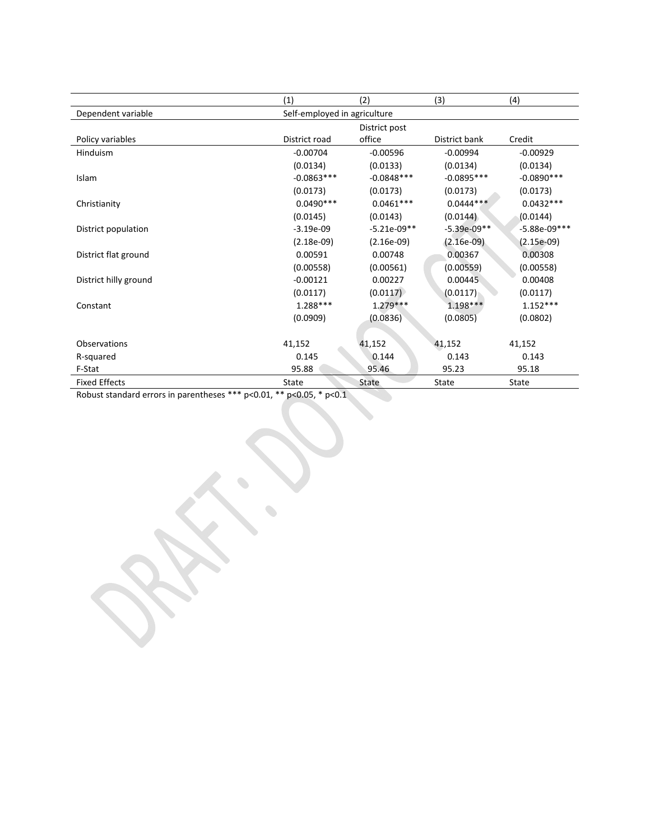|                       | (1)                          | (2)           | (3)                     | (4)            |  |  |
|-----------------------|------------------------------|---------------|-------------------------|----------------|--|--|
| Dependent variable    | Self-employed in agriculture |               |                         |                |  |  |
|                       |                              | District post |                         |                |  |  |
| Policy variables      | District road                | office        | District bank<br>Credit |                |  |  |
| <b>Hinduism</b>       | $-0.00704$                   | $-0.00596$    | $-0.00994$              | $-0.00929$     |  |  |
|                       | (0.0134)                     | (0.0133)      | (0.0134)                | (0.0134)       |  |  |
| Islam                 | $-0.0863***$                 | $-0.0848***$  | $-0.0895***$            | $-0.0890***$   |  |  |
|                       | (0.0173)                     | (0.0173)      | (0.0173)                | (0.0173)       |  |  |
| Christianity          | $0.0490***$                  | $0.0461***$   | $0.0444***$             | $0.0432***$    |  |  |
|                       | (0.0145)                     | (0.0143)      | (0.0144)                | (0.0144)       |  |  |
| District population   | $-3.19e-09$                  | $-5.21e-09**$ | $-5.39e-09**$           | $-5.88e-09***$ |  |  |
|                       | $(2.18e-09)$                 | $(2.16e-09)$  | $(2.16e-09)$            | $(2.15e-09)$   |  |  |
| District flat ground  | 0.00591                      | 0.00748       | 0.00367                 | 0.00308        |  |  |
|                       | (0.00558)                    | (0.00561)     | (0.00559)               | (0.00558)      |  |  |
| District hilly ground | $-0.00121$                   | 0.00227       | 0.00445                 | 0.00408        |  |  |
|                       | (0.0117)                     | (0.0117)      | (0.0117)                | (0.0117)       |  |  |
| Constant              | $1.288***$                   | $1.279***$    | $1.198***$              | $1.152***$     |  |  |
|                       | (0.0909)                     | (0.0836)      | (0.0805)                | (0.0802)       |  |  |
|                       |                              |               |                         |                |  |  |
| Observations          | 41,152                       | 41,152        | 41,152                  | 41,152         |  |  |
| R-squared             | 0.145                        | 0.144         | 0.143                   | 0.143          |  |  |
| F-Stat                | 95.88                        | 95.46         | 95.23                   | 95.18          |  |  |
| <b>Fixed Effects</b>  | State                        | State         | State                   | State          |  |  |

**September 200** 

Robust standard errors in parentheses \*\*\* p<0.01, \*\* p<0.05, \* p<0.1

 $\begin{picture}(20,20) \put(0,0){\line(1,0){0.5}} \put(15,0){\line(1,0){0.5}} \put(15,0){\line(1,0){0.5}} \put(15,0){\line(1,0){0.5}} \put(15,0){\line(1,0){0.5}} \put(15,0){\line(1,0){0.5}} \put(15,0){\line(1,0){0.5}} \put(15,0){\line(1,0){0.5}} \put(15,0){\line(1,0){0.5}} \put(15,0){\line(1,0){0.5}} \put(15,0){\line(1,0){0.5}} \$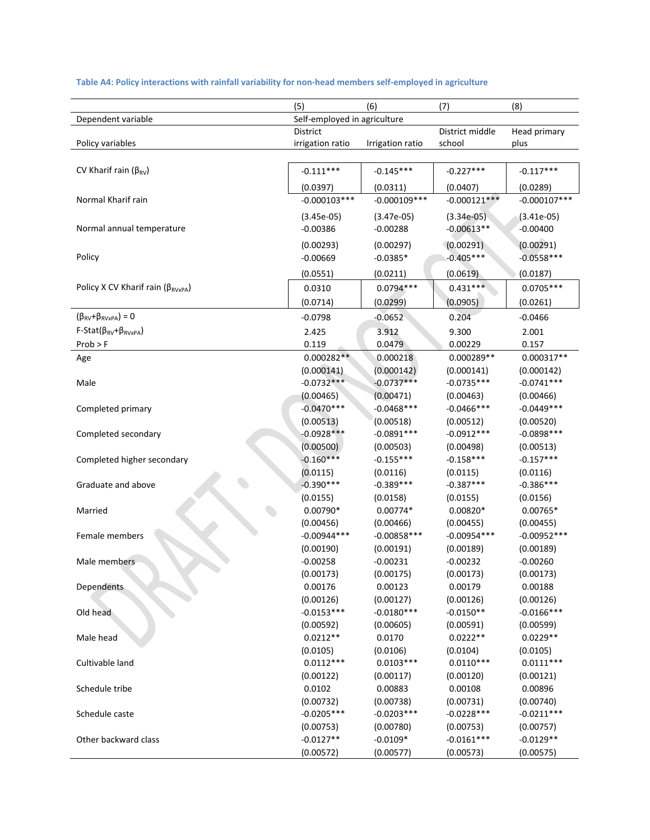|                                                  | (5)                          | (6)                     | (7)                     | (8)                       |
|--------------------------------------------------|------------------------------|-------------------------|-------------------------|---------------------------|
| Dependent variable                               | Self-employed in agriculture |                         |                         |                           |
|                                                  | District                     |                         | District middle         | Head primary              |
| Policy variables                                 | irrigation ratio             | Irrigation ratio        | school                  | plus                      |
|                                                  |                              |                         |                         |                           |
| CV Kharif rain ( $\beta_{RV}$ )                  | $-0.111***$                  | $-0.145***$             | $-0.227***$             | $-0.117***$               |
|                                                  | (0.0397)                     | (0.0311)                | (0.0407)                | (0.0289)                  |
| Normal Kharif rain                               | $-0.000103***$               | $-0.000109***$          | $-0.000121***$          | $-0.000107***$            |
|                                                  | $(3.45e-05)$                 | $(3.47e-05)$            | $(3.34e-05)$            | $(3.41e-05)$              |
| Normal annual temperature                        | $-0.00386$                   | $-0.00288$              | $-0.00613**$            | $-0.00400$                |
|                                                  | (0.00293)                    | (0.00297)               | (0.00291)               | (0.00291)                 |
| Policy                                           | $-0.00669$                   | $-0.0385*$              | $-0.405***$             | $-0.0558***$              |
|                                                  | (0.0551)                     | (0.0211)                | (0.0619)                | (0.0187)                  |
| Policy X CV Kharif rain ( $\beta_{RVxPA}$ )      |                              |                         | $0.431***$              |                           |
|                                                  | 0.0310                       | $0.0794***$             |                         | $0.0705***$               |
|                                                  | (0.0714)                     | (0.0299)                | (0.0905)                | (0.0261)                  |
| $(\beta_{\text{RV}} + \beta_{\text{RVxPA}}) = 0$ | $-0.0798$                    | $-0.0652$               | 0.204                   | $-0.0466$                 |
| $F-Stat(\beta_{RV}+\beta_{RVxPA})$               | 2.425                        | 3.912                   | 9.300                   | 2.001                     |
| $Prob$ > F                                       | 0.119                        | 0.0479                  | 0.00229                 | 0.157                     |
| Age                                              | $0.000282**$                 | 0.000218                | 0.000289**              | 0.000317**                |
|                                                  | (0.000141)                   | (0.000142)              | (0.000141)              | (0.000142)                |
| Male                                             | $-0.0732***$                 | $-0.0737***$            | $-0.0735***$            | $-0.0741***$              |
|                                                  | (0.00465)                    | (0.00471)               | (0.00463)               | (0.00466)                 |
| Completed primary                                | $-0.0470***$                 | $-0.0468$ ***           | $-0.0466$ ***           | $-0.0449***$              |
|                                                  | (0.00513)                    | (0.00518)               | (0.00512)               | (0.00520)                 |
| Completed secondary                              | $-0.0928***$                 | $-0.0891***$            | $-0.0912***$            | $-0.0898***$              |
|                                                  | (0.00500)                    | (0.00503)               | (0.00498)               | (0.00513)                 |
| Completed higher secondary                       | $-0.160***$                  | $-0.155***$             | $-0.158***$             | $-0.157***$               |
|                                                  | (0.0115)                     | (0.0116)                | (0.0115)                | (0.0116)                  |
| Graduate and above                               | $-0.390***$                  | $-0.389***$             | $-0.387***$             | $-0.386***$               |
|                                                  | (0.0155)                     | (0.0158)                | (0.0155)                | (0.0156)                  |
| Married                                          | $0.00790*$                   | $0.00774*$              | $0.00820*$              | $0.00765*$                |
|                                                  | (0.00456)                    | (0.00466)               | (0.00455)               | (0.00455)                 |
| Female members                                   | $-0.00944***$                | $-0.00858***$           | $-0.00954***$           | $-0.00952***$             |
| Male members                                     | (0.00190)<br>$-0.00258$      | (0.00191)<br>$-0.00231$ | (0.00189)<br>$-0.00232$ | (0.00189)                 |
|                                                  |                              |                         |                         | $-0.00260$                |
|                                                  | (0.00173)<br>0.00176         | (0.00175)               | (0.00173)               | (0.00173)                 |
| Dependents                                       |                              | 0.00123<br>(0.00127)    | 0.00179<br>(0.00126)    | 0.00188                   |
|                                                  | (0.00126)<br>$-0.0153***$    | $-0.0180***$            | $-0.0150**$             | (0.00126)<br>$-0.0166***$ |
| Old head                                         | (0.00592)                    | (0.00605)               | (0.00591)               | (0.00599)                 |
| Male head                                        | $0.0212**$                   | 0.0170                  | $0.0222**$              | $0.0229**$                |
|                                                  | (0.0105)                     | (0.0106)                | (0.0104)                | (0.0105)                  |
| Cultivable land                                  | $0.0112***$                  | $0.0103***$             | $0.0110***$             | $0.0111***$               |
|                                                  | (0.00122)                    | (0.00117)               | (0.00120)               | (0.00121)                 |
| Schedule tribe                                   | 0.0102                       | 0.00883                 | 0.00108                 | 0.00896                   |
|                                                  | (0.00732)                    | (0.00738)               | (0.00731)               | (0.00740)                 |
| Schedule caste                                   | $-0.0205***$                 | $-0.0203***$            | $-0.0228***$            | $-0.0211***$              |
|                                                  | (0.00753)                    | (0.00780)               | (0.00753)               | (0.00757)                 |
| Other backward class                             | $-0.0127**$                  | $-0.0109*$              | $-0.0161***$            | $-0.0129**$               |
|                                                  | (0.00572)                    | (0.00577)               | (0.00573)               | (0.00575)                 |

### **Table A4: Policy interactions with rainfall variability for non‐head members self‐employed in agriculture**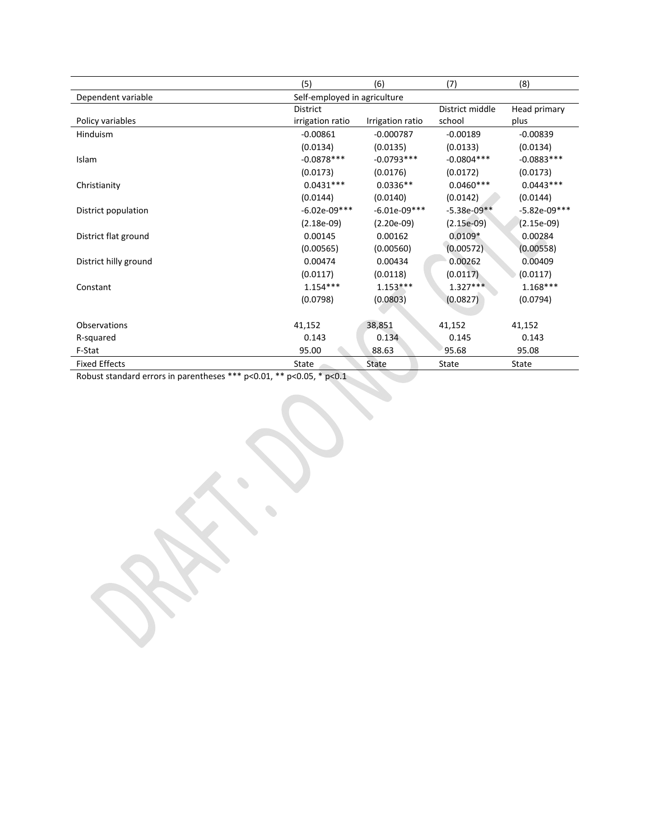|                       | (5)                          | (6)<br>(7)       |                 | (8)            |  |
|-----------------------|------------------------------|------------------|-----------------|----------------|--|
| Dependent variable    | Self-employed in agriculture |                  |                 |                |  |
|                       | <b>District</b>              |                  | District middle | Head primary   |  |
| Policy variables      | irrigation ratio             | Irrigation ratio | school          | plus           |  |
| Hinduism              | $-0.00861$                   | $-0.000787$      | $-0.00189$      | $-0.00839$     |  |
|                       | (0.0134)                     | (0.0135)         | (0.0133)        | (0.0134)       |  |
| Islam                 | $-0.0878***$                 | $-0.0793***$     | $-0.0804***$    | $-0.0883***$   |  |
|                       | (0.0173)                     | (0.0176)         | (0.0172)        | (0.0173)       |  |
| Christianity          | $0.0431***$                  | $0.0336**$       | $0.0460***$     | $0.0443***$    |  |
|                       | (0.0144)                     | (0.0140)         | (0.0142)        | (0.0144)       |  |
| District population   | $-6.02e-09***$               | $-6.01e-09***$   | $-5.38e-09**$   | $-5.82e-09***$ |  |
|                       | $(2.18e-09)$                 | $(2.20e-09)$     | $(2.15e-09)$    | $(2.15e-09)$   |  |
| District flat ground  | 0.00145                      | 0.00162          | $0.0109*$       | 0.00284        |  |
|                       | (0.00565)                    | (0.00560)        | (0.00572)       | (0.00558)      |  |
| District hilly ground | 0.00474                      | 0.00434          | 0.00262         | 0.00409        |  |
|                       | (0.0117)                     | (0.0118)         | (0.0117)        | (0.0117)       |  |
| Constant              | $1.154***$                   | $1.153***$       | $1.327***$      | $1.168***$     |  |
|                       | (0.0798)                     | (0.0803)         | (0.0827)        | (0.0794)       |  |
|                       |                              |                  |                 |                |  |
| Observations          | 41,152                       | 38,851           | 41,152          | 41,152         |  |
| R-squared             | 0.143                        | 0.134            | 0.145           | 0.143          |  |
| F-Stat                | 95.00                        | 88.63            | 95.68           | 95.08          |  |
| <b>Fixed Effects</b>  | State                        | State            | State           | <b>State</b>   |  |

Robust standard errors in parentheses \*\*\* p<0.01, \*\* p<0.05, \* p<0.1

 $\begin{picture}(20,20) \put(0,0){\line(1,0){10}} \put(10,0){\line(1,0){10}} \put(10,0){\line(1,0){10}} \put(10,0){\line(1,0){10}} \put(10,0){\line(1,0){10}} \put(10,0){\line(1,0){10}} \put(10,0){\line(1,0){10}} \put(10,0){\line(1,0){10}} \put(10,0){\line(1,0){10}} \put(10,0){\line(1,0){10}} \put(10,0){\line(1,0){10}} \put(10,0){\line(1$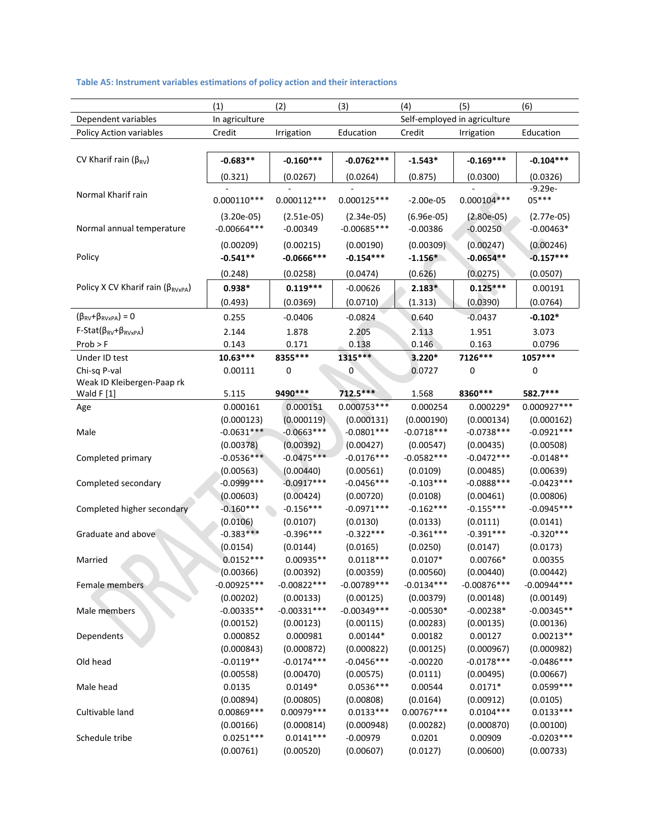### **Table A5: Instrument variables estimations of policy action and their interactions**

|                                             | (1)                       | (2)                        | (3)                        | (4)                    | (5)                          | (6)                        |
|---------------------------------------------|---------------------------|----------------------------|----------------------------|------------------------|------------------------------|----------------------------|
| Dependent variables                         | In agriculture            |                            |                            |                        | Self-employed in agriculture |                            |
| Policy Action variables                     | Credit                    | Irrigation                 | Education                  | Credit                 | Irrigation                   | Education                  |
|                                             |                           |                            |                            |                        |                              |                            |
| CV Kharif rain ( $\beta_{RV}$ )             | $-0.683**$                | $-0.160***$                | $-0.0762***$               | $-1.543*$              | $-0.169***$                  | $-0.104***$                |
|                                             | (0.321)                   | (0.0267)                   | (0.0264)                   | (0.875)                | (0.0300)                     | (0.0326)                   |
|                                             |                           |                            |                            |                        |                              | $-9.29e-$                  |
| Normal Kharif rain                          | $0.000110***$             | $0.000112***$              | $0.000125***$              | $-2.00e-05$            | $0.000104***$                | $05***$                    |
|                                             | $(3.20e-05)$              | $(2.51e-05)$               | $(2.34e-05)$               | $(6.96e-05)$           | $(2.80e-05)$                 | $(2.77e-05)$               |
| Normal annual temperature                   | $-0.00664***$             | $-0.00349$                 | $-0.00685***$              | $-0.00386$             | $-0.00250$                   | $-0.00463*$                |
|                                             | (0.00209)                 | (0.00215)                  | (0.00190)                  | (0.00309)              | (0.00247)                    | (0.00246)                  |
| Policy                                      | $-0.541**$                | $-0.0666$ ***              | $-0.154***$                | $-1.156*$              | $-0.0654**$                  | $-0.157***$                |
|                                             | (0.248)                   | (0.0258)                   | (0.0474)                   | (0.626)                | (0.0275)                     | (0.0507)                   |
| Policy X CV Kharif rain ( $\beta_{RVxPA}$ ) | $0.938*$                  | $0.119***$                 | $-0.00626$                 | $2.183*$               | $0.125***$                   | 0.00191                    |
|                                             | (0.493)                   | (0.0369)                   | (0.0710)                   | (1.313)                | (0.0390)                     | (0.0764)                   |
|                                             |                           |                            |                            |                        |                              |                            |
| $(\beta_{RV}+\beta_{RVxPA})=0$              | 0.255                     | $-0.0406$                  | $-0.0824$                  | 0.640                  | $-0.0437$                    | $-0.102*$                  |
| $F-Stat(\beta_{RV}+\beta_{RVxPA})$          | 2.144                     | 1.878                      | 2.205                      | 2.113                  | 1.951                        | 3.073                      |
| $Prob$ > F                                  | 0.143                     | 0.171                      | 0.138                      | 0.146                  | 0.163                        | 0.0796                     |
| Under ID test                               | $10.63***$                | 8355 ***                   | 1315 ***                   | 3.220*                 | 7126***                      | 1057***                    |
| Chi-sq P-val<br>Weak ID Kleibergen-Paap rk  | 0.00111                   | 0                          | $\boldsymbol{0}$           | 0.0727                 | 0                            | 0                          |
| Wald F [1]                                  | 5.115                     | 9490 ***                   | 712.5***                   | 1.568                  | 8360***                      | 582.7***                   |
| Age                                         | 0.000161                  | 0.000151                   | $0.000753***$              | 0.000254               | $0.000229*$                  | 0.000927 ***               |
|                                             | (0.000123)                | (0.000119)                 | (0.000131)                 | (0.000190)             | (0.000134)                   | (0.000162)                 |
| Male                                        | $-0.0631***$              | $-0.0663***$               | $-0.0801***$               | $-0.0718***$           | $-0.0738***$                 | $-0.0921***$               |
|                                             | (0.00378)                 | (0.00392)                  | (0.00427)                  | (0.00547)              | (0.00435)                    | (0.00508)                  |
| Completed primary                           | $-0.0536***$              | $-0.0475***$               | $-0.0176***$               | $-0.0582***$           | $-0.0472***$                 | $-0.0148**$                |
|                                             | (0.00563)                 | (0.00440)                  | (0.00561)                  | (0.0109)               | (0.00485)                    | (0.00639)                  |
| Completed secondary                         | $-0.0999***$              | $-0.0917***$               | $-0.0456***$               | $-0.103***$            | $-0.0888***$                 | $-0.0423***$               |
|                                             | (0.00603)                 | (0.00424)                  | (0.00720)                  | (0.0108)               | (0.00461)                    | (0.00806)                  |
| Completed higher secondary                  | $-0.160***$               | $-0.156***$                | $-0.0971***$               | $-0.162***$            | $-0.155***$                  | $-0.0945***$               |
|                                             | (0.0106)                  | (0.0107)                   | (0.0130)                   | (0.0133)               | (0.0111)                     | (0.0141)                   |
| Graduate and above                          | $-0.383***$               | $-0.396***$                | $-0.322***$                | $-0.361***$            | $-0.391***$                  | $-0.320***$                |
|                                             | (0.0154)                  | (0.0144)                   | (0.0165)                   | (0.0250)               | (0.0147)                     | (0.0173)                   |
| Married                                     | $0.0152***$               | $0.00935**$                | $0.0118***$                | $0.0107*$              | 0.00766*                     | 0.00355                    |
|                                             | (0.00366)                 | (0.00392)                  | (0.00359)                  | (0.00560)              | (0.00440)                    | (0.00442)                  |
| Female members                              | $-0.00925***$             | $-0.00822***$              | $-0.00789***$              | $-0.0134***$           | $-0.00876***$                | $-0.00944***$              |
|                                             | (0.00202)                 | (0.00133)                  | (0.00125)                  | (0.00379)              | (0.00148)                    | (0.00149)                  |
| Male members                                | $-0.00335**$              | $-0.00331***$              | $-0.00349***$              | $-0.00530*$            | $-0.00238*$                  | $-0.00345**$               |
|                                             | (0.00152)                 | (0.00123)                  | (0.00115)                  | (0.00283)              | (0.00135)                    | (0.00136)                  |
| Dependents                                  | 0.000852                  | 0.000981                   | $0.00144*$                 | 0.00182                | 0.00127                      | $0.00213**$                |
|                                             | (0.000843)<br>$-0.0119**$ | (0.000872)<br>$-0.0174***$ | (0.000822)<br>$-0.0456***$ | (0.00125)              | (0.000967)<br>$-0.0178***$   | (0.000982)<br>$-0.0486***$ |
| Old head                                    |                           |                            |                            | $-0.00220$<br>(0.0111) |                              |                            |
| Male head                                   | (0.00558)<br>0.0135       | (0.00470)<br>$0.0149*$     | (0.00575)<br>$0.0536***$   | 0.00544                | (0.00495)<br>$0.0171*$       | (0.00667)<br>$0.0599***$   |
|                                             | (0.00894)                 | (0.00805)                  | (0.00808)                  | (0.0164)               | (0.00912)                    | (0.0105)                   |
| Cultivable land                             | $0.00869***$              | $0.00979***$               | $0.0133***$                | $0.00767***$           | $0.0104***$                  | $0.0133***$                |
|                                             | (0.00166)                 | (0.000814)                 | (0.000948)                 | (0.00282)              | (0.000870)                   | (0.00100)                  |
| Schedule tribe                              | $0.0251***$               | $0.0141***$                | $-0.00979$                 | 0.0201                 | 0.00909                      | $-0.0203***$               |
|                                             | (0.00761)                 | (0.00520)                  | (0.00607)                  | (0.0127)               | (0.00600)                    | (0.00733)                  |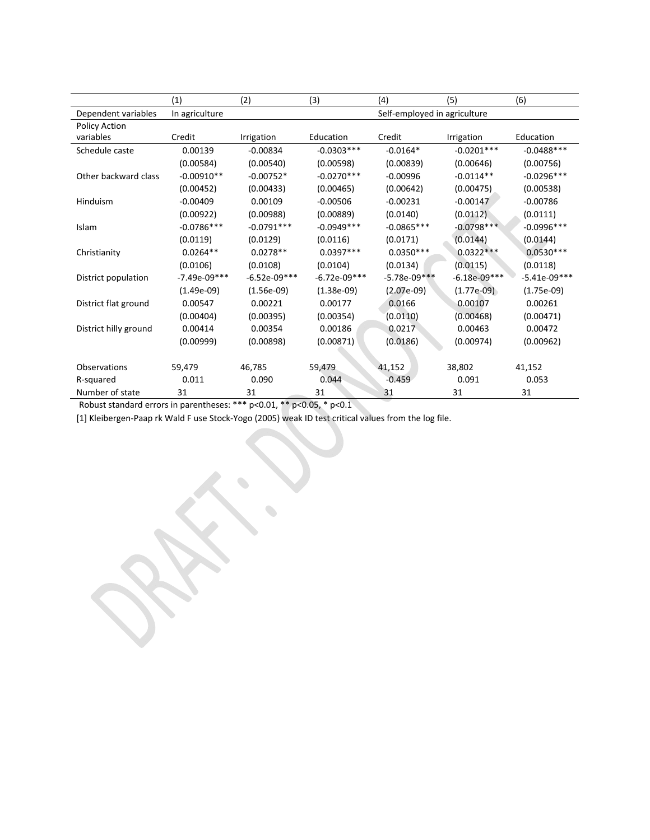|                       | (1)            | (2)                          | (3)            | (4)            | (5)            | (6)            |  |
|-----------------------|----------------|------------------------------|----------------|----------------|----------------|----------------|--|
| Dependent variables   | In agriculture | Self-employed in agriculture |                |                |                |                |  |
| Policy Action         |                |                              |                |                |                |                |  |
| variables             | Credit         | Irrigation                   | Education      | Credit         | Irrigation     | Education      |  |
| Schedule caste        | 0.00139        | $-0.00834$                   | $-0.0303***$   | $-0.0164*$     | $-0.0201***$   | $-0.0488$ ***  |  |
|                       | (0.00584)      | (0.00540)                    | (0.00598)      | (0.00839)      | (0.00646)      | (0.00756)      |  |
| Other backward class  | $-0.00910**$   | $-0.00752*$                  | $-0.0270***$   | $-0.00996$     | $-0.0114**$    | $-0.0296***$   |  |
|                       | (0.00452)      | (0.00433)                    | (0.00465)      | (0.00642)      | (0.00475)      | (0.00538)      |  |
| Hinduism              | $-0.00409$     | 0.00109                      | $-0.00506$     | $-0.00231$     | $-0.00147$     | $-0.00786$     |  |
|                       | (0.00922)      | (0.00988)                    | (0.00889)      | (0.0140)       | (0.0112)       | (0.0111)       |  |
| Islam                 | $-0.0786***$   | $-0.0791***$                 | $-0.0949***$   | $-0.0865***$   | $-0.0798***$   | $-0.0996***$   |  |
|                       | (0.0119)       | (0.0129)                     | (0.0116)       | (0.0171)       | (0.0144)       | (0.0144)       |  |
| Christianity          | $0.0264**$     | $0.0278**$                   | $0.0397***$    | $0.0350***$    | $0.0322***$    | $0.0530***$    |  |
|                       | (0.0106)       | (0.0108)                     | (0.0104)       | (0.0134)       | (0.0115)       | (0.0118)       |  |
| District population   | $-7.49e-09***$ | $-6.52e-09***$               | $-6.72e-09***$ | $-5.78e-09***$ | $-6.18e-09***$ | $-5.41e-09***$ |  |
|                       | $(1.49e-09)$   | $(1.56e-09)$                 | $(1.38e-09)$   | $(2.07e-09)$   | $(1.77e-0.9)$  | $(1.75e-09)$   |  |
| District flat ground  | 0.00547        | 0.00221                      | 0.00177        | 0.0166         | 0.00107        | 0.00261        |  |
|                       | (0.00404)      | (0.00395)                    | (0.00354)      | (0.0110)       | (0.00468)      | (0.00471)      |  |
| District hilly ground | 0.00414        | 0.00354                      | 0.00186        | 0.0217         | 0.00463        | 0.00472        |  |
|                       | (0.00999)      | (0.00898)                    | (0.00871)      | (0.0186)       | (0.00974)      | (0.00962)      |  |
|                       |                |                              |                |                |                |                |  |
| <b>Observations</b>   | 59,479         | 46,785                       | 59,479         | 41,152         | 38,802         | 41,152         |  |
| R-squared             | 0.011          | 0.090                        | 0.044          | $-0.459$       | 0.091          | 0.053          |  |
| Number of state       | 31             | 31                           | 31             | 31             | 31             | 31             |  |

Robust standard errors in parentheses: \*\*\* p<0.01, \*\* p<0.05, \* p<0.1

[1] Kleibergen-Paap rk Wald F use Stock-Yogo (2005) weak ID test critical values from the log file.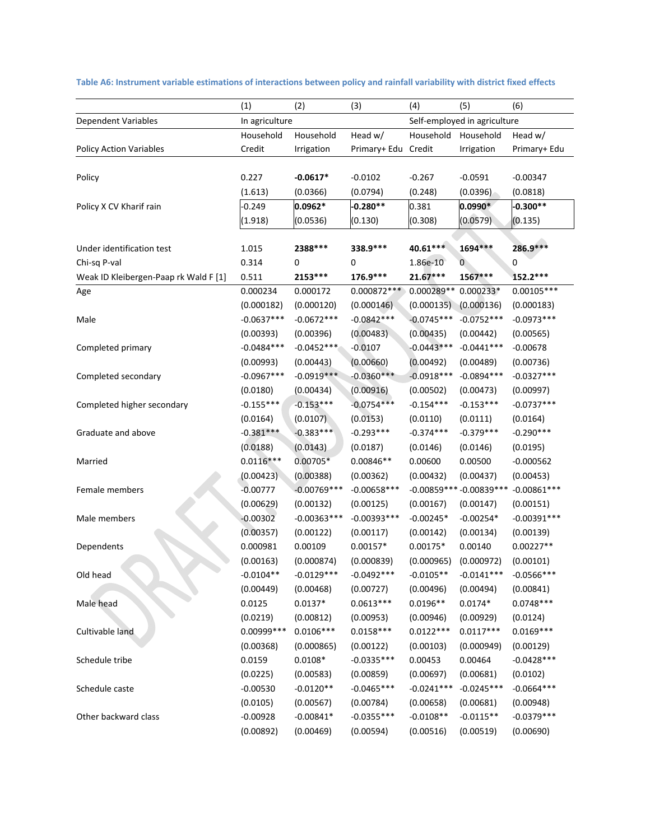|                                       | (1)            | (2)           | (3)                          | (4)                     | (5)                      | (6)           |
|---------------------------------------|----------------|---------------|------------------------------|-------------------------|--------------------------|---------------|
| Dependent Variables                   | In agriculture |               | Self-employed in agriculture |                         |                          |               |
|                                       | Household      | Household     | Head w/                      | Household               | Household                | Head w/       |
| <b>Policy Action Variables</b>        | Credit         | Irrigation    | Primary+ Edu Credit          |                         | Irrigation               | Primary+ Edu  |
|                                       |                |               |                              |                         |                          |               |
| Policy                                | 0.227          | $-0.0617*$    | $-0.0102$                    | $-0.267$                | $-0.0591$                | $-0.00347$    |
|                                       | (1.613)        | (0.0366)      | (0.0794)                     | (0.248)                 | (0.0396)                 | (0.0818)      |
| Policy X CV Kharif rain               | $-0.249$       | 0.0962*       | $-0.280**$                   | 0.381                   | $0.0990*$                | $-0.300**$    |
|                                       | (1.918)        | (0.0536)      | (0.130)                      | (0.308)                 | (0.0579)                 | (0.135)       |
|                                       |                |               |                              |                         |                          |               |
| Under identification test             | 1.015          | 2388 ***      | 338.9 ***                    | 40.61***                | 1694 ***                 | 286.9***      |
| Chi-sq P-val                          | 0.314          | 0             | 0                            | 1.86e-10                | 0                        | 0             |
| Weak ID Kleibergen-Paap rk Wald F [1] | 0.511          | 2153 ***      | 176.9***                     | 21.67***                | 1567***                  | 152.2***      |
| Age                                   | 0.000234       | 0.000172      | $0.000872***$                | 0.000289**              | 0.000233*                | $0.00105***$  |
|                                       | (0.000182)     | (0.000120)    | (0.000146)                   | $(0.00013\overline{5})$ | (0.000136)               | (0.000183)    |
| Male                                  | $-0.0637***$   | $-0.0672***$  | $-0.0842***$                 | $-0.0745***$            | $-0.0752***$             | $-0.0973***$  |
|                                       | (0.00393)      | (0.00396)     | (0.00483)                    | (0.00435)               | (0.00442)                | (0.00565)     |
| Completed primary                     | $-0.0484***$   | $-0.0452***$  | $-0.0107$                    | $-0.0443***$            | $-0.0441***$             | $-0.00678$    |
|                                       | (0.00993)      | (0.00443)     | (0.00660)                    | (0.00492)               | (0.00489)                | (0.00736)     |
| Completed secondary                   | $-0.0967***$   | $-0.0919***$  | $-0.0360***$                 | $-0.0918***$            | $-0.0894***$             | $-0.0327***$  |
|                                       | (0.0180)       | (0.00434)     | (0.00916)                    | (0.00502)               | (0.00473)                | (0.00997)     |
| Completed higher secondary            | $-0.155***$    | $-0.153***$   | $-0.0754***$                 | $-0.154***$             | $-0.153***$              | $-0.0737***$  |
|                                       | (0.0164)       | (0.0107)      | (0.0153)                     | (0.0110)                | (0.0111)                 | (0.0164)      |
| Graduate and above                    | $-0.381***$    | $-0.383***$   | $-0.293***$                  | $-0.374***$             | $-0.379***$              | $-0.290***$   |
|                                       | (0.0188)       | (0.0143)      | (0.0187)                     | (0.0146)                | (0.0146)                 | (0.0195)      |
| Married                               | $0.0116***$    | $0.00705*$    | 0.00846**                    | 0.00600                 | 0.00500                  | $-0.000562$   |
|                                       | (0.00423)      | (0.00388)     | (0.00362)                    | (0.00432)               | (0.00437)                | (0.00453)     |
| Female members                        | $-0.00777$     | $-0.00769***$ | $-0.00658***$                |                         | $-0.00859***-0.00839***$ | $-0.00861***$ |
|                                       | (0.00629)      | (0.00132)     | (0.00125)                    | (0.00167)               | (0.00147)                | (0.00151)     |
| Male members                          | $-0.00302$     | $-0.00363***$ | $-0.00393***$                | $-0.00245*$             | $-0.00254*$              | $-0.00391***$ |
|                                       | (0.00357)      | (0.00122)     | (0.00117)                    | (0.00142)               | (0.00134)                | (0.00139)     |
| Dependents                            | 0.000981       | 0.00109       | $0.00157*$                   | $0.00175*$              | 0.00140                  | $0.00227**$   |
|                                       | (0.00163)      | (0.000874)    | (0.000839)                   | (0.000965)              | (0.000972)               | (0.00101)     |
| Old head                              | $-0.0104**$    | $-0.0129***$  | $-0.0492***$                 | $-0.0105**$             | $-0.0141***$             | $-0.0566***$  |
|                                       | (0.00449)      | (0.00468)     | (0.00727)                    | (0.00496)               | (0.00494)                | (0.00841)     |
| Male head                             | 0.0125         | $0.0137*$     | $0.0613***$                  | $0.0196**$              | $0.0174*$                | $0.0748***$   |
|                                       | (0.0219)       | (0.00812)     | (0.00953)                    | (0.00946)               | (0.00929)                | (0.0124)      |
| Cultivable land                       | 0.00999***     | $0.0106***$   | $0.0158***$                  | $0.0122***$             | $0.0117***$              | $0.0169***$   |
|                                       | (0.00368)      | (0.000865)    | (0.00122)                    | (0.00103)               | (0.000949)               | (0.00129)     |
| Schedule tribe                        | 0.0159         | $0.0108*$     | $-0.0335***$                 | 0.00453                 | 0.00464                  | $-0.0428***$  |
|                                       | (0.0225)       | (0.00583)     | (0.00859)                    | (0.00697)               | (0.00681)                | (0.0102)      |
| Schedule caste                        | $-0.00530$     | $-0.0120**$   | $-0.0465***$                 | $-0.0241***$            | $-0.0245***$             | $-0.0664***$  |
|                                       | (0.0105)       | (0.00567)     | (0.00784)                    | (0.00658)               | (0.00681)                | (0.00948)     |
| Other backward class                  | $-0.00928$     | $-0.00841*$   | $-0.0355***$                 | $-0.0108**$             | $-0.0115**$              | $-0.0379***$  |
|                                       | (0.00892)      | (0.00469)     | (0.00594)                    | (0.00516)               | (0.00519)                | (0.00690)     |

Table A6: Instrument variable estimations of interactions between policy and rainfall variability with district fixed effects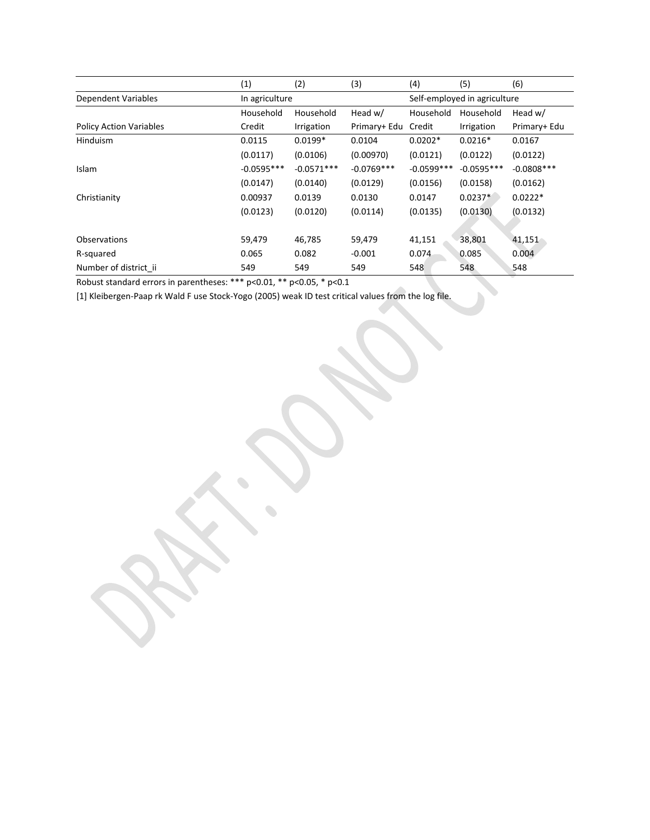|                                | (1)            | (2)          | (3)          | (4)                          | (5)          | (6)           |
|--------------------------------|----------------|--------------|--------------|------------------------------|--------------|---------------|
| <b>Dependent Variables</b>     | In agriculture |              |              | Self-employed in agriculture |              |               |
|                                | Household      | Household    | Head $w/$    | Household                    | Household    | Head w/       |
| <b>Policy Action Variables</b> | Credit         | Irrigation   | Primary+ Edu | Credit                       | Irrigation   | Primary+ Edu  |
| <b>Hinduism</b>                | 0.0115         | $0.0199*$    | 0.0104       | $0.0202*$                    | $0.0216*$    | 0.0167        |
|                                | (0.0117)       | (0.0106)     | (0.00970)    | (0.0121)                     | (0.0122)     | (0.0122)      |
| Islam                          | $-0.0595***$   | $-0.0571***$ | $-0.0769***$ | $-0.0599***$                 | $-0.0595***$ | $-0.0808$ *** |
|                                | (0.0147)       | (0.0140)     | (0.0129)     | (0.0156)                     | (0.0158)     | (0.0162)      |
| Christianity                   | 0.00937        | 0.0139       | 0.0130       | 0.0147                       | $0.0237*$    | $0.0222*$     |
|                                | (0.0123)       | (0.0120)     | (0.0114)     | (0.0135)                     | (0.0130)     | (0.0132)      |
|                                |                |              |              |                              |              |               |
| <b>Observations</b>            | 59,479         | 46,785       | 59,479       | 41,151                       | 38,801       | 41,151        |
| R-squared                      | 0.065          | 0.082        | $-0.001$     | 0.074                        | 0.085        | 0.004         |
| Number of district ii          | 549            | 549          | 549          | 548                          | 548          | 548           |

Robust standard errors in parentheses: \*\*\* p<0.01, \*\* p<0.05, \* p<0.1

[1] Kleibergen-Paap rk Wald F use Stock-Yogo (2005) weak ID test critical values from the log file.

 $\bullet$